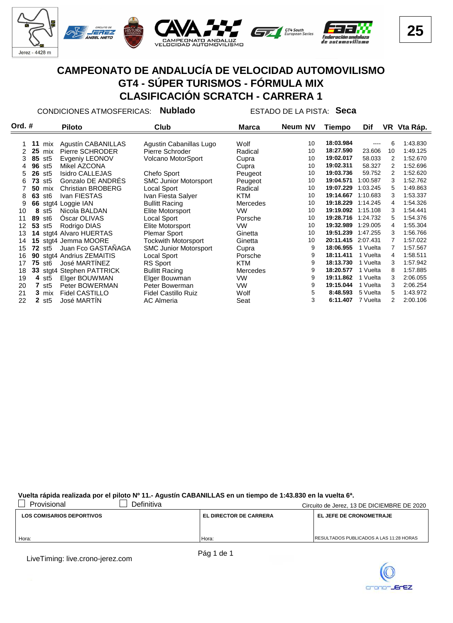

CONDICIONES ATMOSFERICAS: **Nublado** ESTADO DE LA PISTA: **Seca**

| Ord. # |    |                           | <b>Piloto</b>             | Club                         | Marca           | Neum NV | Tiempo    | Dif      |    | VR Vta Ráp. |
|--------|----|---------------------------|---------------------------|------------------------------|-----------------|---------|-----------|----------|----|-------------|
|        |    |                           |                           |                              |                 |         |           |          |    |             |
|        | 11 | mix                       | Agustín CABANILLAS        | Agustin Cabanillas Lugo      | Wolf            | 10      | 18:03.984 |          | 6  | 1:43.830    |
| 2      | 25 | mix                       | Pierre SCHRODER           | Pierre Schroder              | Radical         | 10      | 18:27.590 | 23.606   | 10 | 1:49.125    |
| 3      | 85 | st5                       | Evgeniy LEONOV            | Volcano MotorSport           | Cupra           | 10      | 19:02.017 | 58.033   | 2  | 1:52.670    |
| 4      | 96 | st5                       | Mikel AZCONA              |                              | Cupra           | 10      | 19:02.311 | 58.327   | 2  | 1:52.696    |
| 5      | 26 | st5                       | <b>Isidro CALLEJAS</b>    | Chefo Sport                  | Peugeot         | 10      | 19:03.736 | 59.752   | 2  | 1:52.620    |
| 6      | 73 | st <sub>5</sub>           | Gonzalo DE ANDRES         | <b>SMC Junior Motorsport</b> | Peugeot         | 10      | 19:04.571 | 1:00.587 | 3  | 1:52.762    |
|        | 50 | mix                       | <b>Christian BROBERG</b>  | Local Sport                  | Radical         | 10      | 19:07.229 | 1:03.245 | 5  | 1:49.863    |
| 8      | 63 | st6                       | Ivan FIESTAS              | Ivan Fiesta Salyer           | KTM             | 10      | 19:14.667 | 1:10.683 | 3  | 1:53.337    |
| 9      |    |                           | 66 stgt4 Loggie IAN       | <b>Bullitt Racing</b>        | Mercedes        | 10      | 19:18.229 | 1:14.245 | 4  | 1:54.326    |
| 10     | 8  | st5                       | Nicola BALDAN             | Elite Motorsport             | <b>VW</b>       | 10      | 19:19.092 | 1:15.108 | 3  | 1:54.441    |
| 11     | 89 | st6                       | Óscar OLIVAS              | Local Sport                  | Porsche         | 10      | 19:28.716 | 1:24.732 | 5  | 1:54.376    |
| 12     | 53 | st5                       | Rodrigo DIAS              | Elite Motorsport             | <b>VW</b>       | 10      | 19:32.989 | 1:29.005 | 4  | 1:55.304    |
| 13     |    |                           | 14 stgt4 Alvaro HUERTAS   | <b>Plemar Sport</b>          | Ginetta         | 10      | 19:51.239 | 1:47.255 | 3  | 1:56.766    |
| 14     |    |                           | 15 stgt4 Jemma MOORE      | <b>Tockwith Motorsport</b>   | Ginetta         | 10      | 20:11.415 | 2:07.431 | 7  | 1:57.022    |
| 15     |    | <b>72</b> st <sub>5</sub> | Juan Fco GASTAÑAGA        | <b>SMC Junior Motorsport</b> | Cupra           | 9       | 18:06.955 | 1 Vuelta | 7  | 1:57.567    |
| 16     | 90 |                           | stgt4 Andrius ZEMAITIS    | Local Sport                  | Porsche         | 9       | 18:11.411 | 1 Vuelta | 4  | 1:58.511    |
| 17     |    | <b>75</b> st <sub>6</sub> | José MARTINEZ             | RS Sport                     | KTM             | 9       | 18:13.730 | 1 Vuelta | 3  | 1:57.942    |
| 18     |    |                           | 33 stgt4 Stephen PATTRICK | <b>Bullitt Racing</b>        | <b>Mercedes</b> | 9       | 18:20.577 | 1 Vuelta | 8  | 1:57.885    |
| 19     |    | 4 st <sub>5</sub>         | Elger BOUWMAN             | Elger Bouwman                | <b>VW</b>       | 9       | 19:11.862 | 1 Vuelta | 3  | 2:06.055    |
| 20     | 7  | st5                       | Peter BOWERMAN            | Peter Bowerman               | <b>VW</b>       | 9       | 19:15.044 | 1 Vuelta | 3  | 2:06.254    |
| 21     |    | 3 mix                     | Fidel CASTILLO            | <b>Fidel Castillo Ruiz</b>   | Wolf            | 5       | 8:48.593  | 5 Vuelta | 5  | 1:43.972    |
| 22     |    | $2$ st5                   | José MARTIN               | <b>AC Almeria</b>            | Seat            | 3       | 6:11.407  | 7 Vuelta | 2  | 2:00.106    |

**Vuelta rápida realizada por el piloto Nº 11.- Agustín CABANILLAS en un tiempo de 1:43.830 en la vuelta 6ª.**

| Provisional                      | Definitiva |                               | Circuito de Jerez, 13 DE DICIEMBRE DE 2020     |
|----------------------------------|------------|-------------------------------|------------------------------------------------|
| <b>LOS COMISARIOS DEPORTIVOS</b> |            | <b>EL DIRECTOR DE CARRERA</b> | <b>EL JEFE DE CRONOMETRAJE</b>                 |
|                                  |            |                               |                                                |
|                                  |            |                               |                                                |
| Hora:                            |            | Hora:                         | <b>RESULTADOS PUBLICADOS A LAS 11:28 HORAS</b> |

LiveTiming: live.crono-jerez.com

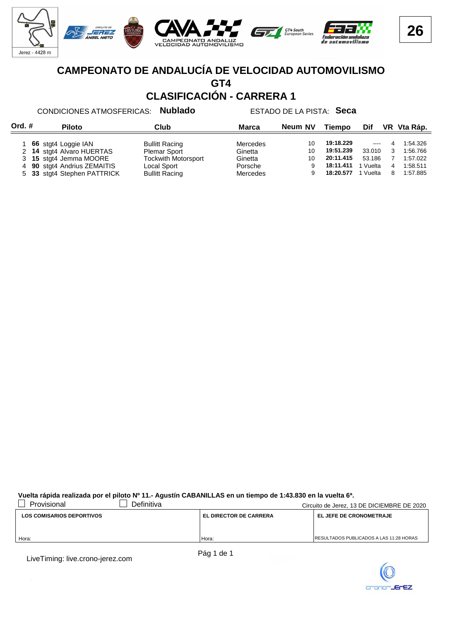

# **CAMPEONATO DE ANDALUCÍA DE VELOCIDAD AUTOMOVILISMO GT4**

**CLASIFICACIÓN - CARRERA 1**

#### CONDICIONES ATMOSFERICAS: **Nublado** ESTADO DE LA PISTA: **Seca**

| Ord. # |  | <b>Piloto</b>               | Club                       |          | Neum NV | Tiempo    | <b>Dif</b> |   | VR Vta Ráp. |
|--------|--|-----------------------------|----------------------------|----------|---------|-----------|------------|---|-------------|
|        |  |                             |                            |          |         |           |            |   |             |
|        |  | 66 stgt4 Loggie IAN         | <b>Bullitt Racing</b>      | Mercedes | 10      | 19:18.229 | $\cdots$   | 4 | 1:54.326    |
|        |  | 2 14 stgt4 Alvaro HUERTAS   | <b>Plemar Sport</b>        | Ginetta  | 10      | 19:51.239 | 33.010     | 3 | 1:56.766    |
|        |  | 3 15 stgt4 Jemma MOORE      | <b>Tockwith Motorsport</b> | Ginetta  | 10      | 20:11.415 | 53.186     |   | 1:57.022    |
|        |  | 4 90 stgt4 Andrius ZEMAITIS | Local Sport                | Porsche  | 9       | 18:11.411 | 1 Vuelta   | 4 | 1:58.511    |
|        |  | 5 33 stgt4 Stephen PATTRICK | <b>Bullitt Racing</b>      | Mercedes | 9       | 18:20.577 | 1 Vuelta   | 8 | 1:57.885    |

**Vuelta rápida realizada por el piloto Nº 11.- Agustín CABANILLAS en un tiempo de 1:43.830 en la vuelta 6ª.**

| Provisional                      | Definitiva |                               | Circuito de Jerez, 13 DE DICIEMBRE DE 2020      |
|----------------------------------|------------|-------------------------------|-------------------------------------------------|
| <b>LOS COMISARIOS DEPORTIVOS</b> |            | <b>EL DIRECTOR DE CARRERA</b> | <b>EL JEFE DE CRONOMETRAJE</b>                  |
|                                  |            |                               |                                                 |
|                                  |            |                               |                                                 |
| Hora:                            |            | Hora:                         | <b>IRESULTADOS PUBLICADOS A LAS 11:28 HORAS</b> |

LiveTiming: live.crono-jerez.com

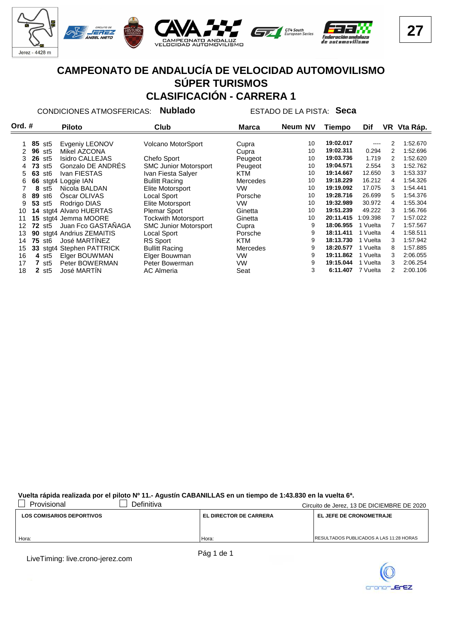

#### **CAMPEONATO DE ANDALUCÍA DE VELOCIDAD AUTOMOVILISMO SÚPER TURISMOS CLASIFICACIÓN - CARRERA 1**

CONDICIONES ATMOSFERICAS: **Nublado** ESTADO DE LA PISTA: **Seca**

| Ord. # |    |                   | <b>Piloto</b>             | Club                         | <b>Marca</b>    | Neum NV | Tiempo    | Dif      |   | VR Vta Ráp. |
|--------|----|-------------------|---------------------------|------------------------------|-----------------|---------|-----------|----------|---|-------------|
|        |    |                   |                           |                              |                 |         |           |          |   |             |
|        |    | 85 st5            | Evgeniy LEONOV            | <b>Volcano MotorSport</b>    | Cupra           | 10      | 19:02.017 |          | 2 | 1:52.670    |
| 2      |    | 96 st5            | Mikel AZCONA              |                              | Cupra           | 10      | 19:02.311 | 0.294    | 2 | 1:52.696    |
| 3      | 26 | st5               | <b>Isidro CALLEJAS</b>    | Chefo Sport                  | Peugeot         | 10      | 19:03.736 | 1.719    | 2 | 1:52.620    |
|        | 73 | st5               | Gonzalo DE ANDRÉS         | <b>SMC Junior Motorsport</b> | Peugeot         | 10      | 19:04.571 | 2.554    | 3 | 1:52.762    |
| 5.     | 63 | st6               | Ivan FIESTAS              | Ivan Fiesta Salver           | KTM             | 10      | 19:14.667 | 12.650   | 3 | 1:53.337    |
| 6      |    |                   | 66 stgt4 Loggie IAN       | <b>Bullitt Racing</b>        | <b>Mercedes</b> | 10      | 19:18.229 | 16.212   | 4 | 1:54.326    |
|        | 8  | st5               | Nicola BALDAN             | Elite Motorsport             | VW              | 10      | 19:19.092 | 17.075   | 3 | 1:54.441    |
| 8      | 89 | st6               | Oscar OLIVAS              | Local Sport                  | Porsche         | 10      | 19:28.716 | 26.699   | 5 | 1:54.376    |
| 9      | 53 | st5               | Rodrigo DIAS              | Elite Motorsport             | VW              | 10      | 19:32.989 | 30.972   | 4 | 1:55.304    |
| 10     |    |                   | 14 stgt4 Alvaro HUERTAS   | <b>Plemar Sport</b>          | Ginetta         | 10      | 19:51.239 | 49.222   | 3 | 1:56.766    |
| 11     |    |                   | 15 stgt4 Jemma MOORE      | <b>Tockwith Motorsport</b>   | Ginetta         | 10      | 20:11.415 | 1:09.398 |   | 1:57.022    |
| 12     | 72 | st5               | Juan Fco GASTAÑAGA        | <b>SMC Junior Motorsport</b> | Cupra           | 9       | 18:06.955 | Vuelta   | 7 | 1:57.567    |
| 13     | 90 |                   | stgt4 Andrius ZEMAITIS    | Local Sport                  | Porsche         | 9       | 18:11.411 | Vuelta   | 4 | 1:58.511    |
| 14     | 75 | st6               | José MARTINEZ             | RS Sport                     | KTM             | 9       | 18:13.730 | Vuelta   | 3 | 1:57.942    |
| 15     |    |                   | 33 stgt4 Stephen PATTRICK | <b>Bullitt Racing</b>        | <b>Mercedes</b> | 9       | 18:20.577 | Vuelta   | 8 | 1:57.885    |
| 16     |    | 4 st <sub>5</sub> | Elger BOUWMAN             | Elger Bouwman                | VW              | 9       | 19:11.862 | Vuelta   | 3 | 2:06.055    |
| 17     |    | st5               | Peter BOWERMAN            | Peter Bowerman               | VW              | 9       | 19:15.044 | Vuelta   | 3 | 2:06.254    |
| 18     |    | 2 <sub>st5</sub>  | José MARTÍN               | <b>AC Almeria</b>            | Seat            | 3       | 6:11.407  | 7 Vuelta | 2 | 2:00.106    |

**Vuelta rápida realizada por el piloto Nº 11.- Agustín CABANILLAS en un tiempo de 1:43.830 en la vuelta 6ª.**

| Provisional                      | Definitiva |                               | Circuito de Jerez, 13 DE DICIEMBRE DE 2020      |
|----------------------------------|------------|-------------------------------|-------------------------------------------------|
| <b>LOS COMISARIOS DEPORTIVOS</b> |            | <b>EL DIRECTOR DE CARRERA</b> | EL JEFE DE CRONOMETRAJE                         |
|                                  |            |                               |                                                 |
| Hora:                            |            | Hora:                         | <b>IRESULTADOS PUBLICADOS A LAS 11:28 HORAS</b> |
|                                  |            |                               |                                                 |

LiveTiming: live.crono-jerez.com

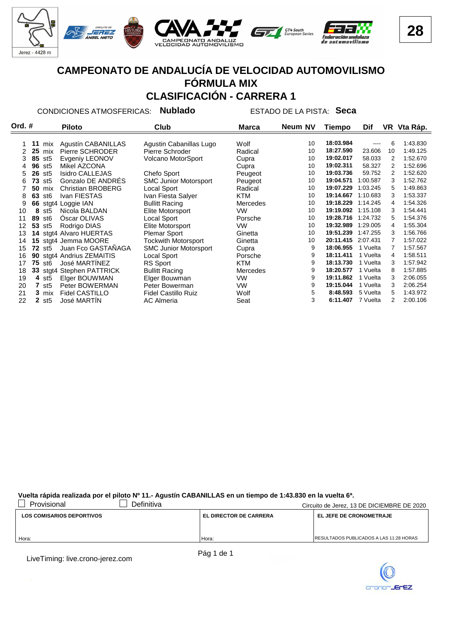

### **CAMPEONATO DE ANDALUCÍA DE VELOCIDAD AUTOMOVILISMO FÓRMULA MIX CLASIFICACIÓN - CARRERA 1**

CONDICIONES ATMOSFERICAS: **Nublado** ESTADO DE LA PISTA: **Seca**

| Ord. # |    |                   | <b>Piloto</b>             | Club                         | Marca           | Neum NV | <b>Tiempo</b> | Dif      |    | VR Vta Ráp. |
|--------|----|-------------------|---------------------------|------------------------------|-----------------|---------|---------------|----------|----|-------------|
|        |    |                   |                           |                              |                 |         |               |          |    |             |
|        | 11 | mix               | Agustín CABANILLAS        | Agustin Cabanillas Lugo      | Wolf            | 10      | 18:03.984     | ----     | 6  | 1:43.830    |
| 2      | 25 | mix               | Pierre SCHRODER           | Pierre Schroder              | Radical         | 10      | 18:27.590     | 23.606   | 10 | 1:49.125    |
| 3      | 85 | st5               | Evgeniy LEONOV            | Volcano MotorSport           | Cupra           | 10      | 19:02.017     | 58.033   | 2  | 1:52.670    |
| 4      | 96 | st5               | Mikel AZCONA              |                              | Cupra           | 10      | 19:02.311     | 58.327   | 2  | 1:52.696    |
| 5      | 26 | st5               | <b>Isidro CALLEJAS</b>    | Chefo Sport                  | Peugeot         | 10      | 19:03.736     | 59.752   | 2  | 1:52.620    |
| 6      | 73 | st <sub>5</sub>   | Gonzalo DE ANDRES         | <b>SMC Junior Motorsport</b> | Peugeot         | 10      | 19:04.571     | 1:00.587 | 3  | 1:52.762    |
|        | 50 | mix               | <b>Christian BROBERG</b>  | Local Sport                  | Radical         | 10      | 19:07.229     | 1:03.245 | 5. | 1:49.863    |
| 8      | 63 | st6               | Ivan FIESTAS              | Ivan Fiesta Salyer           | KTM             | 10      | 19:14.667     | 1:10.683 | 3  | 1:53.337    |
| 9      |    |                   | 66 stgt4 Loggie IAN       | <b>Bullitt Racing</b>        | <b>Mercedes</b> | 10      | 19:18.229     | 1:14.245 | 4  | 1:54.326    |
| 10     | 8  | st5               | Nicola BALDAN             | Elite Motorsport             | VW.             | 10      | 19:19.092     | 1:15.108 | 3  | 1:54.441    |
| 11     | 89 | st6               | Oscar OLIVAS              | Local Sport                  | Porsche         | 10      | 19:28.716     | 1:24.732 | 5. | 1:54.376    |
| 12     | 53 | st5               | Rodrigo DIAS              | Elite Motorsport             | VW.             | 10      | 19:32.989     | 1:29.005 | 4  | 1:55.304    |
| 13     |    |                   | 14 stgt4 Alvaro HUERTAS   | <b>Plemar Sport</b>          | Ginetta         | 10      | 19:51.239     | 1:47.255 | 3  | 1:56.766    |
| 14     |    |                   | 15 stgt4 Jemma MOORE      | <b>Tockwith Motorsport</b>   | Ginetta         | 10      | 20:11.415     | 2:07.431 |    | 1:57.022    |
| 15     |    | <b>72 st5</b>     | Juan Fco GASTAÑAGA        | <b>SMC Junior Motorsport</b> | Cupra           | 9       | 18:06.955     | 1 Vuelta |    | 1:57.567    |
| 16     | 90 |                   | stgt4 Andrius ZEMAITIS    | Local Sport                  | Porsche         | 9       | 18:11.411     | 1 Vuelta | 4  | 1:58.511    |
| 17     |    | <b>75 st6</b>     | José MARTINEZ             | RS Sport                     | KTM             | 9       | 18:13.730     | 1 Vuelta | 3  | 1:57.942    |
| 18     |    |                   | 33 stgt4 Stephen PATTRICK | <b>Bullitt Racing</b>        | <b>Mercedes</b> | 9       | 18:20.577     | 1 Vuelta | 8  | 1:57.885    |
| 19     |    | 4 st <sub>5</sub> | Elger BOUWMAN             | Elger Bouwman                | <b>VW</b>       | 9       | 19:11.862     | 1 Vuelta | 3  | 2:06.055    |
| 20     | 7  | st5               | Peter BOWERMAN            | Peter Bowerman               | <b>VW</b>       | 9       | 19:15.044     | 1 Vuelta | 3  | 2:06.254    |
| 21     |    | 3 mix             | <b>Fidel CASTILLO</b>     | <b>Fidel Castillo Ruiz</b>   | Wolf            | 5       | 8:48.593      | 5 Vuelta | 5  | 1:43.972    |
| 22     |    | $2$ st5           | José MARTIN               | <b>AC Almeria</b>            | Seat            | 3       | 6:11.407      | 7 Vuelta | 2  | 2:00.106    |
|        |    |                   |                           |                              |                 |         |               |          |    |             |

#### **Vuelta rápida realizada por el piloto Nº 11.- Agustín CABANILLAS en un tiempo de 1:43.830 en la vuelta 6ª.**

| Provisional                      | Definitiva |                               | Circuito de Jerez, 13 DE DICIEMBRE DE 2020      |
|----------------------------------|------------|-------------------------------|-------------------------------------------------|
| <b>LOS COMISARIOS DEPORTIVOS</b> |            | <b>EL DIRECTOR DE CARRERA</b> | <b>EL JEFE DE CRONOMETRAJE</b>                  |
|                                  |            |                               |                                                 |
|                                  |            |                               |                                                 |
| Hora:                            |            | Hora:                         | <b>IRESULTADOS PUBLICADOS A LAS 11:28 HORAS</b> |

LiveTiming: live.crono-jerez.com

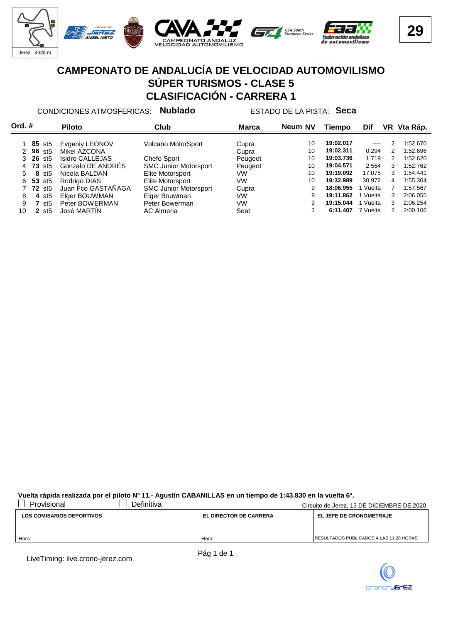

#### **CAMPEONATO DE ANDALUCÍA DE VELOCIDAD AUTOMOVILISMO SÚPER TURISMOS - CLASE 5 CLASIFICACIÓN - CARRERA 1**

CONDICIONES ATMOSFERICAS: **Nublado** ESTADO DE LA PISTA: **Seca**

| Ord. # |                                | <b>Piloto</b>                  | Club                         | <b>Marca</b>   | Neum NV | Tiempo    | Dif           | VR | Vta Ráp. |
|--------|--------------------------------|--------------------------------|------------------------------|----------------|---------|-----------|---------------|----|----------|
|        |                                |                                |                              |                | 10      | 19:02.017 | $\frac{1}{2}$ |    | 1:52.670 |
|        | <b>85</b> st5<br><b>96</b> st5 | Evgeniy LEONOV<br>Mikel AZCONA | Volcano MotorSport           | Cupra<br>Cupra | 10      | 19:02.311 | 0.294         | 2  | 1:52.696 |
|        | <b>26 st5</b>                  | <b>Isidro CALLEJAS</b>         | Chefo Sport                  | Peugeot        | 10      | 19:03.736 | 1.719         | 2  | 1:52.620 |
|        | 73<br>st5                      | Gonzalo DE ANDRES              | <b>SMC Junior Motorsport</b> | Peugeot        | 10      | 19:04.571 | 2.554         | 3  | 1:52.762 |
| 5.     | 8<br>st5                       | Nicola BALDAN                  | Elite Motorsport             | VW             | 10      | 19:19.092 | 17.075        | 3  | 1:54.441 |
| 6      | 53<br>st5                      | Rodrigo DIAS                   | Elite Motorsport             | VW             | 10      | 19:32.989 | 30.972        | 4  | 1:55.304 |
|        | <b>72</b> st <sub>5</sub>      | Juan Fco GASTAÑAGA             | <b>SMC Junior Motorsport</b> | Cupra          | 9       | 18:06.955 | Vuelta        |    | 1:57.567 |
| 8      | st5<br>4                       | Elger BOUWMAN                  | Elger Bouwman                | VW             | 9       | 19:11.862 | Vuelta        | 3  | 2:06.055 |
| 9      | st5                            | Peter BOWERMAN                 | Peter Bowerman               | VW             | 9       | 19:15.044 | Vuelta        | 3  | 2:06.254 |
| 10     | st5                            | José MARTIN                    | AC Almeria                   | Seat           | 3       | 6:11.407  | 7 Vuelta      | 2  | 2:00.106 |

**Vuelta rápida realizada por el piloto Nº 11.- Agustín CABANILLAS en un tiempo de 1:43.830 en la vuelta 6ª.**

| Provisional                      | Definitiva |                               | Circuito de Jerez, 13 DE DICIEMBRE DE 2020      |
|----------------------------------|------------|-------------------------------|-------------------------------------------------|
| <b>LOS COMISARIOS DEPORTIVOS</b> |            | <b>EL DIRECTOR DE CARRERA</b> | <b>EL JEFE DE CRONOMETRAJE</b>                  |
|                                  |            |                               |                                                 |
|                                  |            |                               |                                                 |
| Hora:                            |            | Hora:                         | <b>IRESULTADOS PUBLICADOS A LAS 11:28 HORAS</b> |

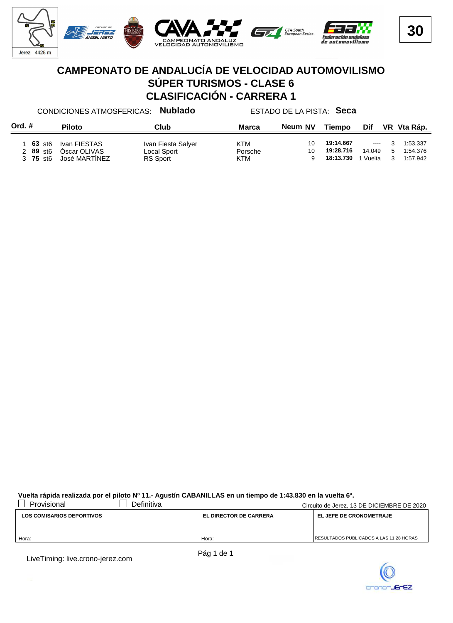

#### **CAMPEONATO DE ANDALUCÍA DE VELOCIDAD AUTOMOVILISMO SÚPER TURISMOS - CLASE 6 CLASIFICACIÓN - CARRERA 1**

Ord. # Piloto **Club** Club Marca Neum NV Tiempo Dif VR Vta Ráp. CONDICIONES ATMOSFERICAS: **Nublado** ESTADO DE LA PISTA: **Seca Marca \* A** Piloto **Music Equation Club Club Marca Neum** NV Tiempo Dif 1 **63** st6 Ivan FIESTAS Ivan Fiesta Salyer **KTM** 10 19:14.667 --- 3 1:53.337<br>2 89 st6 Óscar OLIVAS Local Sport Porsche 10 19:28.716 14.049 5 1:54.376 2 **89** st6 Óscar OLIVAS Local Sport Porsche 10 5 **19:28.716** 14.049 1:54.376  $30$  José MARTÍNEZ

#### **Vuelta rápida realizada por el piloto Nº 11.- Agustín CABANILLAS en un tiempo de 1:43.830 en la vuelta 6ª.**

| Provisional                      | Definitiva |                               | Circuito de Jerez, 13 DE DICIEMBRE DE 2020      |
|----------------------------------|------------|-------------------------------|-------------------------------------------------|
| <b>LOS COMISARIOS DEPORTIVOS</b> |            | <b>EL DIRECTOR DE CARRERA</b> | <b>EL JEFE DE CRONOMETRAJE</b>                  |
|                                  |            |                               |                                                 |
|                                  |            |                               | <b>IRESULTADOS PUBLICADOS A LAS 11:28 HORAS</b> |
| Hora:                            |            | Hora:                         |                                                 |

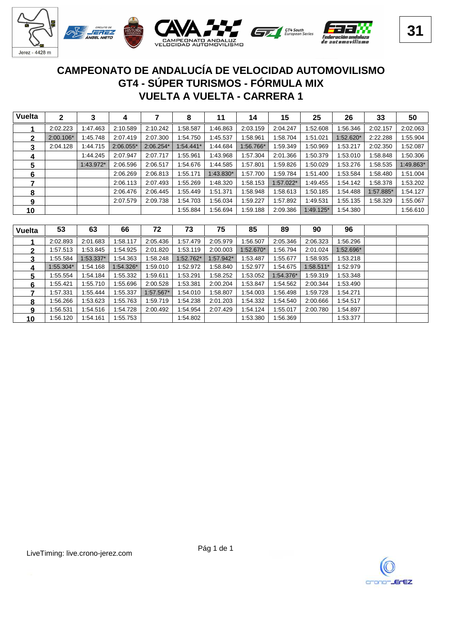

#### **VUELTA A VUELTA - CARRERA 1 GT4 - SÚPER TURISMOS - FÓRMULA MIX CAMPEONATO DE ANDALUCÍA DE VELOCIDAD AUTOMOVILISMO**

| <b>Vuelta</b> | $\mathbf{2}$ | 3         | 4           |           | 8           | 11        | 14        | 15          | 25          | 26        | 33        | 50        |
|---------------|--------------|-----------|-------------|-----------|-------------|-----------|-----------|-------------|-------------|-----------|-----------|-----------|
|               | 2:02.223     | 1:47.463  | 2:10.589    | 2:10.242  | 1:58.587    | 1:46.863  | 2:03.159  | 2:04.247    | 1:52.608    | 1:56.346  | 2:02.157  | 2:02.063  |
| 2             | $2:00.106*$  | 1:45.748  | 2:07.419    | 2:07.300  | 1:54.750    | 1:45.537  | 1:58.961  | 1:58.704    | 1:51.021    | 1:52.620* | 2:22.288  | 1:55.904  |
| 3             | 2:04.128     | 1:44.715  | $2:06.055*$ | 2:06.254* | $1:54.441*$ | 1:44.684  | 1:56.766* | 1:59.349    | 1:50.969    | 1:53.217  | 2:02.350  | 1:52.087  |
| 4             |              | 1:44.245  | 2:07.947    | 2:07.717  | 1:55.961    | 1:43.968  | 1:57.304  | 2:01.366    | 1:50.379    | 1:53.010  | 1:58.848  | 1:50.306  |
| 5             |              | 1:43.972* | 2:06.596    | 2:06.517  | 1:54.676    | 1:44.585  | 1:57.801  | 1:59.826    | 1:50.029    | 1:53.276  | 1:58.535  | 1:49.863* |
| 6             |              |           | 2:06.269    | 2:06.813  | 1:55.171    | 1:43.830* | 1:57.700  | 1:59.784    | 1:51.400    | 1:53.584  | 1:58.480  | 1:51.004  |
|               |              |           | 2:06.113    | 2:07.493  | 1:55.269    | 1:48.320  | 1:58.153  | $1:57.022*$ | 1:49.455    | 1:54.142  | 1:58.378  | 1:53.202  |
| 8             |              |           | 2:06.476    | 2:06.445  | 1:55.449    | 1:51.371  | 1:58.948  | 1:58.613    | 1:50.185    | 1:54.488  | 1:57.885* | 1:54.127  |
| 9             |              |           | 2:07.579    | 2:09.738  | 1:54.703    | 1:56.034  | 1:59.227  | 1:57.892    | 1:49.531    | 1:55.135  | 1:58.329  | 1:55.067  |
| 10            |              |           |             |           | 1:55.884    | 1:56.694  | 1:59.188  | 2:09.386    | $1:49.125*$ | 1:54.380  |           | 1:56.610  |

| <b>Vuelta</b> | 53        | 63        | 66        | 72          | 73        | 75        | 85        | 89        | 90        | 96        |  |
|---------------|-----------|-----------|-----------|-------------|-----------|-----------|-----------|-----------|-----------|-----------|--|
|               | 2:02.893  | 2:01.683  | 1:58.117  | 2:05.436    | 1:57.479  | 2:05.979  | 1:56.507  | 2:05.346  | 2:06.323  | 1:56.296  |  |
| 2             | 1:57.513  | 1:53.845  | :54.925   | 2:01.820    | 1:53.119  | 2:00.003  | 1:52.670* | 1:56.794  | 2:01.024  | 1:52.696* |  |
| 3             | 1:55.584  | 1:53.337* | :54.363   | :58.248     | 1:52.762* | 1.57.942* | 1:53.487  | 1:55.677  | 1:58.935  | 1:53.218  |  |
| 4             | 1:55.304* | 1:54.168  | 1:54.326* | :59.010     | 1:52.972  | 1:58.840  | 1:52.977  | 1:54.675  | 1:58.511* | 1:52.979  |  |
| 5.            | 1:55.554  | 1:54.184  | :55.332   | 1:59.611    | 1:53.291  | 1:58.252  | 1:53.052  | 1:54.376* | 1:59.319  | 1:53.348  |  |
| 6             | 1:55.421  | 1:55.710  | :55.696   | 2:00.528    | 1:53.381  | 2:00.204  | 1:53.847  | 1:54.562  | 2:00.344  | 1:53.490  |  |
|               | 1:57.331  | 1:55.444  | :55.337   | $1:57.567*$ | 1:54.010  | 1:58.807  | 1:54.003  | 1:56.498  | 1:59.728  | 1:54.271  |  |
| 8             | 1:56.266  | 1:53.623  | :55.763   | :59.719     | 1:54.238  | 2:01.203  | 1:54.332  | 1:54.540  | 2:00.666  | 1:54.517  |  |
| 9             | 1:56.531  | 1:54.516  | :54.728   | 2:00.492    | 1:54.954  | 2:07.429  | 1:54.124  | 1:55.017  | 2:00.780  | 1:54.897  |  |
| 10            | 1:56.120  | 1:54.161  | 1:55.753  |             | 1:54.802  |           | 1:53.380  | 1:56.369  |           | 1:53.377  |  |

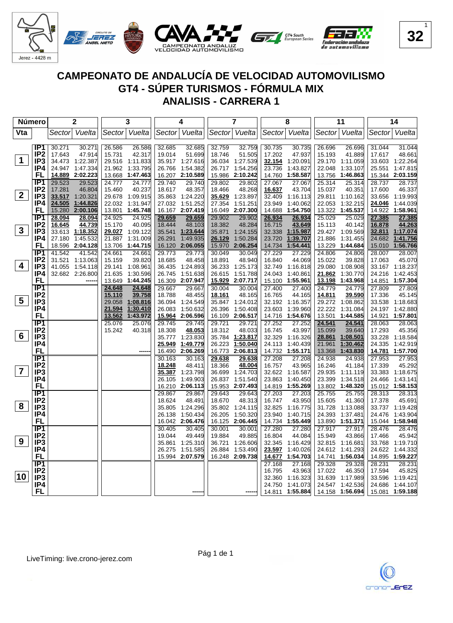

| Número         |                        |                  | 2                  |        | 3                           |                  | 4                    |                  | 7                    |                  | 8                           |        | 11                          |        | 14                                 |
|----------------|------------------------|------------------|--------------------|--------|-----------------------------|------------------|----------------------|------------------|----------------------|------------------|-----------------------------|--------|-----------------------------|--------|------------------------------------|
| Vta            |                        | Sector           | Vuelta             | Sector | Vuelta                      |                  | Sector Vuelta        | Sector           | Vuelta               | Sector           | Vuelta                      | Sector | Vuelta                      |        | Sector   Vuelta                    |
|                |                        |                  |                    |        |                             |                  |                      |                  |                      |                  |                             |        |                             |        |                                    |
|                | IP1                    | 30.271           | 30.271             | 26.586 | 26.586                      | 32.685           | 32.685               | 32.759           | 32.759               | 30.735           | 30.735                      | 26.696 | 26.696                      | 31.044 | 31.044                             |
|                | IP <sub>2</sub>        | 17.643           | 47.914             | 15.731 | 42.317                      | 19.014           | 51.699               | 18.746           | 51.505               | 17.202           | 47.937                      | 15.193 | 41.889                      | 17.617 | 48.661                             |
| $\mathbf 1$    | IP <sub>3</sub>        |                  | 34.473 1:22.387    |        | 29.516 1:11.833             |                  | 35.917 1:27.616      | 36.034           | 1:27.539             |                  | 32.154 1:20.091             |        | 29.170 1:11.059             |        | 33.603 1:22.264                    |
|                | IP4                    |                  | 24.947 1:47.334    |        | 21.962 1:33.795             | 26.766           | 1:54.382             | 26.717           | 1:54.256             | 23.736           | 1:43.827                    |        | 22.048 1:33.107             |        | 25.551 1:47.815                    |
|                | FL                     |                  | 14.889 2:02.223    | 13.668 | 1:47.463                    | 16.207           | 2:10.589             | 15.986           | 2:10.242             | 14.760           | 1:58.587                    |        | 13.756 1:46.863             |        | 15.344 2:03.159                    |
|                | IP <sub>1</sub>        | 29.523           | 29.523             | 24.777 | 24.777                      | 29.740           | 29.740               | 29.802           | 29.802               | 27.067           | 27.067                      | 25.314 | 25.314                      | 28.737 | 28.737                             |
|                | IP <sub>2</sub>        | 17.281           | 46.804             | 15.460 | 40.237                      | 18.617           | 48.357               | 18.466           | 48.268               | 16.637           | 43.704                      | 15.037 | 40.351                      | 17.600 | 46.337                             |
| $\mathbf{2}$   | IP3                    | 33.517           | 1:20.321           | 29.678 | 1:09.915                    | 35.863           | 1:24.220             | 35.629           | 1:23.897             | 32.409           | 1:16.113                    |        | 29.811 1:10.162             | 33.656 | 1:19.993                           |
|                | IP4                    | 24.505           | 1:44.826           | 22.032 | 1:31.947                    | 27.032           | 1:51.252             | 27.354           | 1:51.251             | 23.949           | 1:40.062                    |        | 22.053 1:32.215             | 24.046 | 1:44.039                           |
|                | FL                     | 15.280           | 2:00.106           |        | 13.801 1:45.748             |                  | 16.167 2:07.419      | 16.049           | 2:07.300             | 14.688           | 1:54.750                    |        | 13.322 1:45.537             |        | 14.922 1:58.961                    |
|                | IP1<br>IP <sub>2</sub> | 28.094           | 28.094             | 24.925 | 24.925                      | 29.659           | 29.659<br>48.103     | 29.902<br>18.382 | 29.902               | 26.934<br>16.715 | 26.934<br>43.649            | 25.029 | 25.029                      | 27.385 | 27.385                             |
| $\mathbf{3}$   | IP3                    | 16.645           | 44.739<br>1:18.352 | 15.170 | 40.095                      | 18.444<br>35.541 | 1:23.644             | 35.871           | 48.284<br>1:24.155   | 32.338           | 1:15.987                    | 15.113 | 40.142<br>29.427 1:09.569   | 16.878 | 44.263                             |
|                | IP4                    | 33.613<br>27.180 | 1:45.532           | 21.887 | 29.027 1:09.122<br>1:31.009 | 26.291           | 1:49.935             | 26.129           | 1:50.284             | 23.720           | 1:39.707                    | 21.886 | 1:31.455                    |        | 32.811 1:17.074<br>24.682 1:41.756 |
|                | FL                     |                  | 18.596 2:04.128    |        | 13.706 1:44.715             | 16.120           | 2:06.055             | 15.970           | 2:06.254             | 14.734           | 1:54.441                    |        | 13.229 1:44.684             |        | 15.010 1:56.766                    |
|                | IP1                    | 41.542           | 41.542             | 24.661 | 24.661                      | 29.773           | 29.773               | 30.049           | 30.049               | 27.229           | 27.229                      | 24.806 | 24.806                      | 28.007 | 28.007                             |
|                | IP <sub>2</sub>        |                  | 31.521 1:13.063    | 15.159 | 39.820                      | 18.685           | 48.458               | 18.891           | 48.940               | 16.840           | 44.069                      | 15.022 | 39.828                      | 17.063 | 45.070                             |
| 4              | IP3                    | 41.055           | 1:54.118           | 29.141 | 1:08.961                    | 36.435           | 1:24.893             | 36.233           | 1:25.173             | 32.749           | 1:16.818                    |        | 29.080 1:08.908             |        | 33.167 1:18.237                    |
|                | IP4                    |                  | 32.682 2:26.800    | 21.635 | 1:30.596                    | 26.745           | 1:51.638             | 26.615           | 1:51.788             | 24.043           | 1:40.861                    | 21.862 | 1:30.770                    |        | 24.216 1:42.453                    |
|                | FL                     |                  |                    |        | 13.649 1:44.245             |                  | 16.309 2:07.947      |                  | 15.929 2:07.717      |                  | 15.100 1:55.961             | 13.198 | 1:43.968                    |        | 14.851 1:57.304                    |
|                | $\overline{IP1}$       |                  |                    | 24.648 | 24.648                      | 29.667           | 29.667               | 30.004           | 30.004               | 27.400           | 27.400                      | 24.779 | 24.779                      | 27.809 | 27.809                             |
|                | IP <sub>2</sub>        |                  |                    | 15.110 | 39.758                      | 18.788           | 48.455               | 18.161           | 48.165               | 16.765           | 44.165                      | 14.811 | 39.590                      | 17.336 | 45.145                             |
| 5              | IP <sub>3</sub>        |                  |                    | 29.058 | 1:08.816                    | 36.094           | 1:24.549             | 35.847           | 1:24.012             |                  | 32.192 1:16.357             |        | 29.272 1:08.862             |        | 33.538 1:18.683                    |
|                | IP4                    |                  |                    | 21.594 | 1:30.410                    | 26.083           | 1:50.632             | 26.396           | 1:50.408             |                  | 23.603 1:39.960             | 22.222 | 1:31.084                    |        | 24.197 1:42.880                    |
|                | FL                     |                  |                    | 13.562 | 1:43.972                    | <u>15.964</u>    | 2:06.596             |                  | 16.109 2:06.517      |                  | 14.716 1:54.676             |        | 13.501 1:44.585             |        | 14.921 1:57.801                    |
|                | $\overline{IP1}$       |                  |                    | 25.076 | 25.076                      | 29.745           | 29.745               | 29.721           | 29.721               | 27.252           | 27.252                      | 24.541 | 24.541                      | 28.063 | 28.063                             |
|                | IP <sub>2</sub>        |                  |                    | 15.242 | 40.318                      | 18.308           | 48.053               | 18.312           | 48.033               | 16.745           | 43.997                      | 15.099 | 39.640                      | 17.293 | 45.356                             |
| 6              | IP <sub>3</sub>        |                  |                    |        |                             | 35.777           | 1:23.830             | 35.784           | 1:23.817             |                  | 32.329 1:16.326             | 28.861 | 1:08.501                    |        | 33.228 1:18.584                    |
|                | IP4                    |                  |                    |        |                             | 25.949           | 1:49.779             | 26.223           | 1:50.040             |                  | 24.113 1:40.439             | 21.961 | 1:30.462                    |        | 24.335 1:42.919                    |
|                | FL                     |                  |                    |        |                             | 16.490           | 2:06.269             | 16.773           | 2:06.813             |                  | 14.732 1:55.171             | 13.368 | 1:43.830                    | 14.781 | 1:57.700                           |
|                | IP1                    |                  |                    |        |                             | 30.163           | 30.163               | 29.638           | 29.638               | 27.208           | 27.208                      | 24.938 | 24.938                      | 27.953 | 27.953                             |
| $\overline{7}$ | IP <sub>2</sub>        |                  |                    |        |                             | 18.248           | 48.411               | 18.366           | 48.004               | 16.757           | 43.965                      | 16.246 | 41.184                      | 17.339 | 45.292                             |
|                | IP3<br>IP4             |                  |                    |        |                             | 35.387           | 1:23.798             | 36.699           | 1:24.703             |                  | 32.622 1:16.587             | 29.935 | 1:11.119                    |        | 33.383 1:18.675                    |
|                | <b>FL</b>              |                  |                    |        |                             | 26.105<br>16.210 | 1:49.903<br>2:06.113 | 26.837<br>15.953 | 1:51.540<br>2:07.493 | 23.863           | 1:40.450<br>14.819 1:55.269 | 23.399 | 1:34.518<br>13.802 1:48.320 |        | 24.466 1:43.141<br>15.012 1:58.153 |
|                | $\overline{IP1}$       |                  |                    |        |                             | 29.867           | 29.867               | 29.643           | 29.643               | 27.203           | 27.203                      | 25.755 | 25.755                      | 28.313 | 28.313                             |
|                | IP <sub>2</sub>        |                  |                    |        |                             | 18.624           | 48.491               | 18.670           | 48.313               | 16.747           | 43.950                      | 15.605 | 41.360                      | 17.378 | 45.691                             |
| 8              | IP <sub>3</sub>        |                  |                    |        |                             | 35.805           | 1:24.296             | 35.802           | 1:24.115             | 32.825           | 1:16.775                    | 31.728 | 1:13.088                    |        | 33.737 1:19.428                    |
|                | IP4                    |                  |                    |        |                             | 26.138           | 1:50.434             | 26.205           | 1:50.320             | 23.940           | 1:40.715                    | 24.393 | 1:37.481                    | 24.476 | 1:43.904                           |
|                | <b>FL</b>              |                  |                    |        |                             | 16.042           | 2:06.476             | 16.125           | 2:06.445             |                  | 14.734 1:55.449             |        | 13.890 1:51.371             |        | 15.044 1:58.948                    |
|                | $\overline{IP1}$       |                  |                    |        |                             | 30.405           | 30.405               | 30.001           | 30.001               | 27.280           | 27.280                      | 27.917 | 27.917                      | 28.476 | 28.476                             |
|                | IP <sub>2</sub>        |                  |                    |        |                             | 19.044           | 49.449               | 19.884           | 49.885               | 16.804           | 44.084                      | 15.949 | 43.866                      | 17.466 | 45.942                             |
| 9              | IP <sub>3</sub>        |                  |                    |        |                             | 35.861           | 1:25.310             | 36.721           | 1:26.606             | 32.345           | 1:16.429                    |        | 32.815 1:16.681             | 33.768 | 1:19.710                           |
|                | IP4                    |                  |                    |        |                             | 26.275           | 1:51.585             | 26.884           | 1:53.490             | 23.597           | 1:40.026                    |        | 24.612 1:41.293             |        | 24.622 1:44.332                    |
|                | FL                     |                  |                    |        |                             |                  | 15.994 2:07.579      | 16.248           | 2:09.738             | 14.677           | 1:54.703                    |        | 14.741 1:56.034             |        | 14.895 1:59.227                    |
|                | IP <sub>1</sub>        |                  |                    |        |                             |                  |                      |                  |                      | 27.168           | 27.168                      | 29.328 | 29.328                      | 28.231 | 28.231                             |
|                | IP <sub>2</sub>        |                  |                    |        |                             |                  |                      |                  |                      | 16.795           | 43.963                      | 17.022 | 46.350                      | 17.594 | 45.825                             |
| 10             | IP <sub>3</sub>        |                  |                    |        |                             |                  |                      |                  |                      | 32.360           | 1:16.323                    | 31.639 | 1:17.989                    | 33.596 | 1:19.421                           |
|                | IP4                    |                  |                    |        |                             |                  |                      |                  |                      | 24.750           | 1:41.073                    |        | 24.547 1:42.536             | 24.686 | 1:44.107                           |
|                | FL                     |                  |                    |        |                             |                  |                      |                  |                      |                  | 14.811 1:55.884             |        | 14.158 1:56.694             |        | 15.081 1:59.188                    |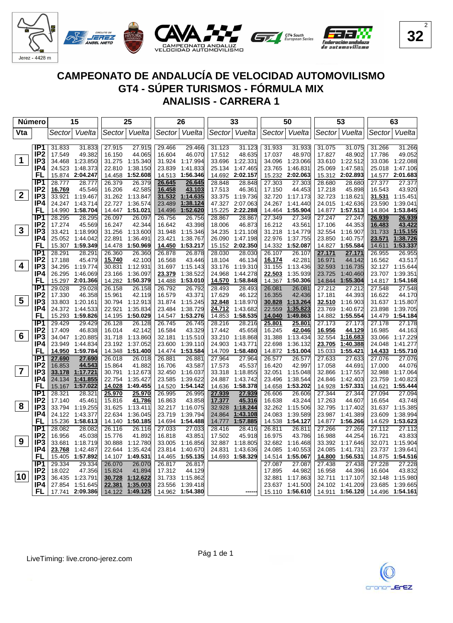

| Número          |                                    |                  | 15                   |                  | 25                   |                  | 26                   |                  | 33                   |                  | 50                   |                  | 53                   |                  | 63                          |
|-----------------|------------------------------------|------------------|----------------------|------------------|----------------------|------------------|----------------------|------------------|----------------------|------------------|----------------------|------------------|----------------------|------------------|-----------------------------|
| Vta             |                                    | Sector           | Vuelta               | Sector           | Vuelta               | Sector           | Vuelta               | Sector           | Vuelta               | Sector           | Vuelta               | Sector           | Vuelta               | Sector           | Vuelta                      |
|                 |                                    |                  |                      |                  |                      |                  |                      |                  |                      |                  |                      |                  |                      |                  |                             |
|                 | IP1                                | 31.833           | 31.833               | 27.915           | 27.915               | 29.466           | 29.466               | 31.123           | 31.123               | 31.933           | 31.933               | 31.075           | 31.075               | 31.266           | 31.266                      |
|                 | IP <sub>2</sub>                    | 17.549           | 49.382               | 16.150           | 44.065               | 16.604           | 46.070               | 17.512           | 48.635               | 17.037           | 48.970               | 17.827           | 48.902               | 17.786           | 49.052                      |
| $\mathbf 1$     | IP3                                | 34.468           | 1:23.850             | 31.275           | 1:15.340             | 31.924           | 1:17.994             | 33.696           | 1:22.331             | 34.096           | 1:23.066             | 33.610           | 1:22.512             | 33.036           | 1:22.088                    |
|                 | IP4                                | 24.523           | 1:48.373             | 22.810           | 1:38.150             | 23.839           | 1:41.833             | 25.134           | 1:47.465             | 23.765           | 1:46.831             | 25.069           | 1:47.581             |                  | 25.018 1:47.106             |
|                 | FL                                 |                  | 15.874 2:04.247      | 14.458           | 1:52.608             | 14.513           | 1:56.346             | 14.692           | 2:02.157             | 15.232           | 2:02.063             |                  | 15.312 2:02.893      |                  | 14.577 2:01.683             |
|                 | IP <sub>1</sub>                    | 28.777           | 28.777               | 26.379           | 26.379               | 26.645           | 26.645               | 28.848           | 28.848               | 27.303           | 27.303               | 28.680           | 28.680               | 27.377           | 27.377                      |
| 2 <sup>1</sup>  | IP <sub>2</sub>                    | 16.769           | 45.546               | 16.206           | 42.585               | 16.458           | 43.103               | 17.513           | 46.361               | 17.150           | 44.453               | 17.218           | 45.898               | 16.543           | 43.920                      |
|                 | IP <sub>3</sub><br>IP4             | 33.921<br>24.247 | 1:19.467<br>1:43.714 | 31.262           | 1:13.847<br>1:36.574 | 31.532           | 1:14.635             | 33.375           | 1:19.736             | 32.720           | 1:17.173<br>1:41.440 | 32.723<br>24.015 | 1:18.621<br>1:42.636 | 31.531<br>23.590 | 1:15.451<br>1:39.041        |
|                 | FL                                 | 14.990           | 1:58.704             | 22.727           | 14.447 1:51.021      | 23.489<br>14.496 | 1:38.124<br>1:52.620 | 47.327<br>15.225 | 2:07.063<br>2:22.288 | 24.267<br>14.464 | 1:55.904             |                  | 14.877 1:57.513      | 14.804           | 1:53.845                    |
|                 | IP1                                | 28.295           | 28.295               | 26.097           | 26.097               | 26.756           | 26.756               | 28.867           | 28.867               | 27.349           | 27.349               | 27.247           | 27.247               | 26.939           |                             |
|                 | IP <sub>2</sub>                    | 17.274           | 45.569               | 16.247           | 42.344               | 16.642           | 43.398               | 18.006           | 46.873               | 16.212           | 43.561               | 17.106           | 44.353               | 16.483           | 26.939<br>43.422            |
| $\mathbf{3}$    | IP <sub>3</sub>                    | 33.421           | 1:18.990             | 31.256           | 1:13.600             | 31.948           | 1:15.346             | 34.235           | 1:21.108             | 31.218           | 1:14.779             | 32.554           | 1:16.907             | 31.733           | 1:15.155                    |
|                 | IP4                                | 25.052           | 1:44.042             | 22.891           | 1:36.491             | 23.421           | 1:38.767             | 26.090           | 1:47.198             | 22.976           | 1:37.755             | 23.850           | 1:40.757             | 23.571           | 1:38.726                    |
|                 | FL                                 |                  | 15.307 1:59.349      | 14.478           | 1:50.969             | 14.450           | 1:53.217             | 15.152           | 2:02.350             | 14.332           | 1:52.087             | 14.827           | 1:55.584             | 14.611           | 1:53.337                    |
|                 | IP1                                | 28.291           | 28.291               | 26.360           | 26.360               | 26.878           | 26.878               | 28.030           | 28.030               | 26.107           | 26.107               | 27.171           | 27.171               | 26.955           | 26.955                      |
|                 | IP <sub>2</sub>                    | 17.188           | 45.479               | 15.740           | 42.100               | 16.568           | 43.446               | 18.104           | 46.134               | 16.174           | 42.281               | 16.971           | 44.142               | 16.562           | 43.517                      |
| 4               | IP3                                | 34.295           | 1:19.774             | 30.831           | 1:12.931             | 31.697           | 1:15.143             | 33.176           | 1:19.310             | 31.155           | 1:13.436             | 32.593           | 1:16.735             |                  | 32.127 1:15.644             |
|                 | IP4                                | 26.295           | 1:46.069             | 23.166           | 1:36.097             | 23.379           | 1:38.522             | 24.968           | 1:44.278             | 22.503           | 1:35.939             | 23.725           | 1:40.460             |                  | 23.707 1:39.351             |
|                 | FL                                 |                  | 15.297 2:01.366      | 14.282           | 1:50.379             | 14.488           | 1:53.010             | 14.570           | 1:58.848             | 14.367           | 1:50.306             | 14.844           | 1:55.304             |                  | 14.817 1:54.168             |
|                 | $\overline{IP1}$                   | 29.028           | 29.028               | 26.158           | 26.158               | 26.792           | 26.792               | 28.493           | 28.493               | 26.081           | 26.081               | 27.212           | 27.212               | 27.548           | 27.548                      |
|                 | IP <sub>2</sub>                    | 17.330           | 46.358               | 15.961           | 42.119               | 16.579           | 43.371               | 17.629           | 46.122               | 16.355           | 42.436               | 17.181           | 44.393               | 16.622           | 44.170                      |
| $5\phantom{.0}$ | IP3                                | 33.803           | 1:20.161             | 30.794           | 1:12.913             | 31.874           | 1:15.245             | 32.848           | 1:18.970             | 30.828           | 1:13.264             | 32.510           | 1:16.903             |                  | 31.637 1:15.807             |
|                 | IP4                                | 24.372           | 1:44.533             | 22.921           | 1:35.834             | 23.484           | 1:38.729             | 24.712           | 1:43.682             | 22.559           | 1:35.823             | 23.769           | 1:40.672             | 23.898           | 1:39.705                    |
|                 | FL                                 | 15.293           | 1:59.826             | 14.195           | 1:50.029             | 14.547           | 1:53.276             | 14.853           | 1:58.535             | 14.040           | 1:49.863             | 14.882           | 1:55.554             | 14.479           | 1:54.184                    |
|                 | IP <sub>1</sub><br>IP <sub>2</sub> | 29.429<br>17.409 | 29.429               | 26.128           | 26.128               | 26.745           | 26.745               | 28.216           | 28.216               | 25.801           | 25.801               | 27.173           | 27.173               | 27.178<br>16.985 | 27.178                      |
| 6               | IP <sub>3</sub>                    | 34.047           | 46.838<br>1:20.885   | 16.014<br>31.718 | 42.142<br>1:13.860   | 16.584<br>32.181 | 43.329<br>1:15.510   | 17.442<br>33.210 | 45.658<br>1:18.868   | 16.245<br>31.388 | 42.046<br>1:13.434   | 16.956<br>32.554 | 44.129<br>1:16.683   | 33.066           | 44.163<br>1:17.229          |
|                 | IP4                                | 23.949           | 1:44.834             | 23.192           | 1:37.052             | 23.600           | 1:39.110             | 24.903           | 1:43.771             | 22.698           | 1:36.132             | 23.705           | 1:40.388             | 24.048           | 1:41.277                    |
|                 | FL                                 | 14.950           | 1:59.784             | 14.348           | 1:51.400             | 14.474           | 1:53.584             | 14.709           | 1:58.480             | 14.872           | 1:51.004             | 15.033           | 1:55.421             |                  | 14.433 1:55.710             |
|                 | IP1                                | 27.690           | 27.690               | 26.018           | 26.018               | 26.881           | 26.881               | 27.964           | 27.964               | 26.577           | 26.577               | 27.633           | 27.633               | 27.076           | 27.076                      |
|                 | IP <sub>2</sub>                    | 16.853           | 44.543               | 15.864           | 41.882               | 16.706           | 43.587               | 17.573           | 45.537               | 16.420           | 42.997               | 17.058           | 44.691               | 17.000           | 44.076                      |
| $\overline{7}$  | IP <sub>3</sub>                    | 33.178           | 1:17.721             | 30.791           | 1:12.673             | 32.450           | 1:16.037             | 33.318           | 1:18.855             | 32.051           | 1:15.048             | 32.866           | 1:17.557             | 32.988           | 1:17.064                    |
|                 | IP4                                | 24.134           | 1:41.855             | 22.754           | 1:35.427             | 23.585           | 1:39.622             | 24.887           | 1:43.742             | 23.496           | 1:38.544             | 24.846           | 1:42.403             | 23.759           | 1:40.823                    |
|                 | FL                                 | 15.167           | 1:57.022             | 14.028           | 1:49.455             | 14.520           | 1:54.142             | 14.636           | 1:58.378             | 14.658           | 1:53.202             | 14.928           | 1:57.331             | 14.621           | 1:55.444                    |
|                 | IP1                                | 28.321           | 28.321               | 25.970           | 25.970               | 26.995           | 26.995               | 27.939           | 27.939               | 26.606           | 26.606               | 27.344           | 27.344               | 27.094           | 27.094                      |
|                 | IP2                                | 17.140           | 45.461               | 15.816           | 41.786               | 16.863           | 43.858               | 17.377           | 45.316               | 16.638           | 43.244               | 17.263           | 44.607               | 16.654           | 43.748                      |
| 8               | IP3                                | 33.794           | 1:19.255             | 31.625           | 1:13.411             | 32.217           | 1:16.075             | 32.928           | 1:18.244             | 32.262           | 1:15.506             | 32.795           | 1:17.402             |                  | 31.637 1:15.385             |
|                 | IP4                                | 24.122           | 1:43.377             | 22.634           | 1:36.045             | 23.719           | 1:39.794             | 24.864           | 1:43.108             | 24.083           | 1:39.589             | 23.987           | 1:41.389             | 23.609           | 1:38.994                    |
|                 | FL                                 | 15.236           | 1:58.613             | 14.140           | 1:50.185             | 14.694           | 1:54.488             | 14.777           | 1:57.885             | 14.538           | 1:54.127             | 14.877           | 1:56.266             |                  | 14.629 1:53.623             |
|                 | IP <sub>1</sub>                    | 28.082           | 28.082               | 26.116           | 26.116               | 27.033           | 27.033               | 28.416           | 28.416               | 26.811           | 26.811               | 27.266           | 27.266               | 27.112           | 27.112                      |
| 9               | IP <sub>2</sub><br>IP3             | 16.956           | 45.038               | 15.776           | 41.892               | 16.818           | 43.851               | 17.502           | 45.918               | 16.975           | 43.786               | 16.988           | 44.254               | 16.721           | 43.833                      |
|                 | IP4                                | 33.681<br>23.768 | 1:18.719<br>1:42.487 | 30.888<br>22.644 | 1:12.780<br>1:35.424 | 33.005<br>23.814 | 1:16.856<br>1:40.670 | 32.887<br>24.831 | 1:18.805<br>1:43.636 | 32.682<br>24.085 | 1:16.468<br>1:40.553 | 33.392<br>24.085 | 1:17.646<br>1:41.731 | 32.071           | 1:15.904<br>23.737 1:39.641 |
|                 | FL                                 | 15.405           | 1:57.892             | 14.107           | 1:49.531             | 14.465           | 1:55.135             | 14.693           | 1:58.329             | 14.514           | 1:55.067             | 14.800           | 1:56.531             |                  | 14.875 1:54.516             |
|                 | IP1                                | 29.334           | 29.334               | 26.070           | 26.070               | 26.817           | 26.817               |                  |                      | 27.087           | 27.087               | 27.438           | 27.438               | 27.228           | 27.228                      |
|                 | IP <sub>2</sub>                    | 18.022           | 47.356               | 15.824           | 41.894               | 17.312           | 44.129               |                  |                      | 17.895           | 44.982               | 16.958           | 44.396               | 16.604           | 43.832                      |
| 10              | IP <sub>3</sub>                    | 36.435           | 1:23.791             | 30.728           | 1:12.622             | 31.733           | 1:15.862             |                  |                      | 32.881           | 1:17.863             | 32.711           | 1:17.107             | 32.148           | 1:15.980                    |
|                 | IP4                                | 27.854           | 1:51.645             | 22.381           | 1:35.003             | 23.556           | 1:39.418             |                  |                      | 23.637           | 1:41.500             | 24.102           | 1:41.209             | 23.685           | 1:39.665                    |
|                 | FL                                 | 17.741           | 2:09.386             | 14.122           | 1:49.125             | 14.962           | 1:54.380             |                  |                      |                  | 15.110 1:56.610      | 14.911           | 1:56.120             |                  | 14.496 1:54.161             |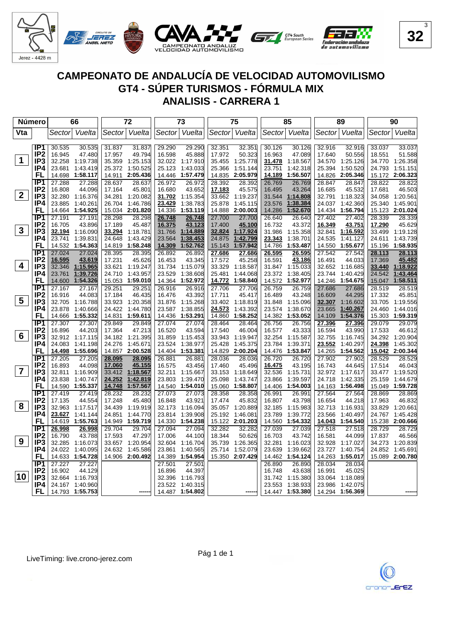

| Número         |                        | 66                             |        |                  | 72               |                  | 73                          |                  | 75                   |                  | 85                   |                  | 89                                 |                  | 90                          |
|----------------|------------------------|--------------------------------|--------|------------------|------------------|------------------|-----------------------------|------------------|----------------------|------------------|----------------------|------------------|------------------------------------|------------------|-----------------------------|
| Vta            |                        | Vuelta<br>Sectorl              |        | Sectorl          | Vuelta           | Sector           | Vuelta                      | Sector           | Vuelta               | Sector           | Vuelta               | Sector           | Vuelta                             | Sector           | Vuelta                      |
|                |                        |                                |        |                  |                  |                  |                             |                  |                      |                  |                      |                  |                                    |                  |                             |
|                | IP1                    | 30.535                         | 30.535 | 31.837           | 31.837           | 29.290           | 29.290                      | 32.351           | 32.351               | 30.126           | 30.126               | 32.916           | 32.916                             | 33.037           | 33.037                      |
|                | IP <sub>2</sub>        | 16.945<br>47.480               |        | 17.957           | 49.794           | 16.598           | 45.888                      | 17.972           | 50.323               | 16.963           | 47.089               | 17.640           | 50.556                             | 18.551           | 51.588                      |
| $\mathbf 1$    | IP <sub>3</sub>        | 32.258<br>1:19.738             |        | 35.359           | 1:25.153         |                  | 32.022 1:17.910             | 35.455           | 1:25.778             | <u>31.478</u>    | 1:18.567             | 34.570           | 1:25.126                           |                  | 34.770 1:26.358             |
|                | IP4                    | 23.681<br>1:43.419             |        | 25.372           | 1:50.525         | 25.123           | 1:43.033                    | 25.366           | 1:51.144             | 23.751           | 1:42.318             | 25.394           | 1:50.520                           |                  | 24.793 1:51.151             |
|                | FL                     | 1:58.117<br>14.698             |        | 14.911           | 2:05.436         | 14.446           | 1:57.479                    | 14.835           | 2:05.979             | 14.189           | 1:56.507             |                  | 14.826 2:05.346                    |                  | 15.172 2:06.323             |
|                | IP <sub>1</sub>        | 27.288                         | 27.288 | 28.637           | 28.637           | 26.972           | 26.972                      | 28.392           | 28.392               | 26.769           | 26.769               | 28.847           | 28.847                             | 28.822           | 28.822                      |
|                | IP <sub>2</sub>        | 16.808                         | 44.096 | 17.164           | 45.801           | 16.680           | 43.652                      | <u>17.183</u>    | 45.575               | 16.495           | 43.264               | 16.685           | 45.532                             | 17.681           | 46.503                      |
| 2 <sup>1</sup> | IP <sub>3</sub>        | 32.280<br>1:16.376             |        | 34.281           | 1:20.082         | 31.702           | 1:15.354                    | 33.662           | 1:19.237             | 31.544           | 1:14.808             | 32.791           | 1:18.323                           |                  | 34.058 1:20.561             |
|                | IP4                    | 1:40.261<br>23.885             |        | 26.704           | 1:46.786         | 23.429           | 1:38.783                    | 25.878           | 1:45.115             | 23.576           | 1:38.384             |                  | 24.037 1:42.360                    |                  | 25.340 1:45.901             |
|                | FL                     | 14.664 1:54.925                |        |                  | 15.034 2:01.820  | 14.336           | 1:53.119                    | 14.888           | 2:00.003             | 14.286           | 1:52.670             |                  | 14.434 1:56.794                    |                  | 15.123 2:01.024             |
|                | IP1                    | 27.191<br>27.191               |        | 28.298           | 28.298           | 26.748           | 26.748                      | 27.700           | 27.700               | 26.640           | 26.640               | 27.402           | 27.402                             | 28.339           | 28.339                      |
|                | IP <sub>2</sub>        | 16.705                         | 43.896 | 17.189           | 45.487           | 16.375           | 43.123                      | 17.400           | 45.100               | 16.732           | 43.372               | 16.349           | 43.751                             | 17.290           | 45.629                      |
| $\mathbf{3}$   | IP3                    | 32.194<br>1:16.090             |        | 33.294           | 1:18.781         | 31.766           | 1:14.889                    | 32.824           | 1:17.924             | 31.986           | 1:15.358             | 32.841           | 1:16.592                           | 33.499           | 1:19.128                    |
|                | IP4                    | 1:39.831<br>23.741             |        | 24.648           | 1:43.429         | 23.564           | 1:38.453                    | 24.875           | 1:42.799             | 23.343           | 1:38.701             | 24.535           | 1:41.127                           |                  | 24.611 1:43.739             |
|                | FL                     | 14.532 1:54.363                |        |                  | 14.819 1:58.248  | 14.309           | 1:52.762                    | 15.143           | 1:57.942             | 14.786           | 1:53.487             | 14.550           | 1:55.677                           |                  | 15.196 1:58.935             |
|                | IP1                    | 27.024                         | 27.024 | 28.395           | 28.395           | 26.892           | 26.892                      | 27.686           | 27.686               | 26.595           | 26.595               | 27.542           | 27.542                             | 28.113           | 28.113                      |
| 4              | IP <sub>2</sub>        | 16.595                         | 43.619 | 17.231           | 45.626           | 16.453           | 43.345                      | 17.572           | 45.258               | 16.591           | 43.186               | 16.491           | 44.033                             | 17.369           | 45.482                      |
|                | IP <sub>3</sub><br>IP4 | 32.346 1:15.965                |        | 33.621           | 1:19.247         |                  | 31.734 1:15.079             | 33.329           | 1:18.587             |                  | 31.847 1:15.033      |                  | 32.652 1:16.685                    |                  | 33.440 1:18.922             |
|                | FL                     | 1:39.726<br>23.761<br>1:54.326 |        | 24.710           | 1:43.957         | 23.529           | 1:38.608<br>14.364 1:52.972 | 25.481<br>14.772 | 1:44.068<br>1:58.840 | 23.372           | 1:38.405<br>1:52.977 |                  | 23.744 1:40.429<br>14.246 1:54.675 | 24.542           | 1:43.464<br>15.047 1:58.511 |
|                | IP1                    | 14.600                         |        |                  | 15.053 1:59.010  |                  |                             |                  |                      | 14.572           |                      |                  |                                    |                  |                             |
|                | IP <sub>2</sub>        | 27.167<br>27.167<br>16.916     | 44.083 | 29.251<br>17.184 | 29.251<br>46.435 | 26.916<br>16.476 | 26.916<br>43.392            | 27.706<br>17.711 | 27.706<br>45.417     | 26.759<br>16.489 | 26.759<br>43.248     | 27.686<br>16.609 | 27.686<br>44.295                   | 28.519<br>17.332 | 28.519<br>45.851            |
| 5              | IP3                    | 32.705<br>1:16.788             |        |                  | 33.923 1:20.358  | 31.876           | 1:15.268                    | 33.402           | 1:18.819             | 31.848           | 1:15.096             | 32.307           | 1:16.602                           |                  | 33.705 1:19.556             |
|                | IP4                    | 23.878<br>1:40.666             |        | 24.422           | 1:44.780         | 23.587           | 1:38.855                    | 24.573           | 1:43.392             | 23.574           | 1:38.670             | 23.665           | 1:40.267                           |                  | 24.460 1:44.016             |
|                | FL                     | 14.666<br>1:55.332             |        | 14.831           | 1:59.611         | 14.436           | 1:53.291                    | 14.860           | 1:58.252             | 14.382           | 1:53.052             | 14.109           | 1:54.376                           |                  | 15.303 1:59.319             |
|                | IP1                    | 27.307                         | 27.307 | 29.849           | 29.849           | 27.074           | 27.074                      | 28.464           | 28.464               | 26.756           | 26.756               | 27.396           | 27.396                             | 29.079           | 29.079                      |
|                | IP <sub>2</sub>        | 16.896                         | 44.203 | 17.364           | 47.213           | 16.520           | 43.594                      | 17.540           | 46.004               | 16.577           | 43.333               | 16.594           | 43.990                             | 17.533           | 46.612                      |
| 6              | IP <sub>3</sub>        | 32.912 1:17.115                |        |                  | 34.182 1:21.395  | 31.859           | 1:15.453                    | 33.943           | 1:19.947             | 32.254           | 1:15.587             | 32.755           | 1:16.745                           |                  | 34.292 1:20.904             |
|                | IP4                    | 24.083<br>1:41.198             |        | 24.276           | 1:45.671         | 23.524           | 1:38.977                    | 25.428           | 1:45.375             | 23.784           | 1:39.371             | 23.552           | 1:40.297                           | 24.398           | 1:45.302                    |
|                | FL                     | 14.498<br>1:55.696             |        | 14.857           | 2:00.528         | 14.404           | 1:53.381                    | 14.829           | 2:00.204             | 14.476           | 1:53.847             | 14.265           | 1:54.562                           |                  | 15.042 2:00.344             |
|                | IP1                    | 27.205                         | 27.205 | 28.095           | 28.095           | 26.881           | 26.881                      | 28.036           | 28.036               | 26.720           | 26.720               | 27.902           | 27.902                             | 28.529           | 28.529                      |
|                | IP <sub>2</sub>        | 16.893                         | 44.098 | 17.060           | 45.155           | 16.575           | 43.456                      | 17.460           | 45.496               | 16.475           | 43.195               | 16.743           | 44.645                             | 17.514           | 46.043                      |
| $\overline{7}$ | IP3                    | 32.811 1:16.909                |        | 33.412           | 1:18.567         | 32.211           | 1:15.667                    | 33.153           | 1:18.649             | 32.536           | 1:15.731             |                  | 32.972 1:17.617                    |                  | 33.477 1:19.520             |
|                | IP4                    | 23.838<br>1:40.747             |        | 24.252           | 1:42.819         | 23.803           | 1:39.470                    | 25.098           | 1:43.747             | 23.866           | 1:39.597             | 24.718           | 1:42.335                           | 25.159           | 1:44.679                    |
|                | FL                     | 14.590<br>1:55.337             |        | 14.748           | 1:57.567         | 14.540           | 1:54.010                    | 15.060           | 1:58.807             | 14.406           | 1:54.003             | 14.163           | 1:56.498                           |                  | 15.049 1:59.728             |
|                | IP1                    | 27.419                         | 27.419 | 28.232           | 28.232           | 27.073           | 27.073                      | 28.358           | 28.358               | 26.991           | 26.991               | 27.564           | 27.564                             | 28.869           | 28.869                      |
|                | IP <sub>2</sub>        | 17.135<br>44.554               |        | 17.248           | 45.480           | 16.848           | 43.921                      | 17.474           | 45.832               | 16.807           | 43.798               | 16.654           | 44.218                             | 17.963           | 46.832                      |
| 8              | IP <sub>3</sub>        | 32.963 1:17.517                |        | 34.439           | 1:19.919         | 32.173           | 1:16.094                    | 35.057           | 1:20.889             | 32.185           | 1:15.983             |                  | 32.713 1:16.931                    |                  | 33.829 1:20.661             |
|                | IP4                    | 23.627<br>1:41.144             |        | 24.851           | 1:44.770         | 23.814           | 1:39.908                    | 25.192           | 1:46.081             | 23.789           | 1:39.772             | 23.566           | 1:40.497                           |                  | 24.767 1:45.428             |
|                | FL                     | 14.619 1:55.763                |        | 14.949           | 1:59.719         | 14.330           | 1:54.238                    | 15.122           | 2:01.203             | 14.560           | 1:54.332             |                  | 14.043 1:54.540                    |                  | 15.238 2:00.666             |
|                | $\overline{IP1}$       | 26.998                         | 26.998 | 29.704           | 29.704           | 27.094           | 27.094                      | 32.282           | 32.282               | 27.039           | 27.039               | 27.518           | 27.518                             | 28.729           | 28.729                      |
|                | IP <sub>2</sub>        | 16.790                         | 43.788 | 17.593           | 47.297           | 17.006           | 44.100                      | 18.344           | 50.626               | 16.703           | 43.742               | 16.581           | 44.099                             | 17.837           | 46.566                      |
| 9              | IP <sub>3</sub>        | 32.285 1:16.073                |        |                  | 33.657 1:20.954  | 32.604           | 1:16.704                    | 35.739           | 1:26.365             | 32.281           | 1:16.023             | 32.928           | 1:17.027                           | 34.273           | 1:20.839                    |
|                | IP4                    | 24.022<br>1:40.095             |        | 24.632           | 1:45.586         | 23.861           | 1:40.565                    | 25.714           | 1:52.079             | 23.639           | 1:39.662             | 23.727           | 1:40.754                           | 24.852           | 1:45.691                    |
|                | FL                     | 14.633 1:54.728                |        |                  | 14.906 2:00.492  | 14.389           | 1:54.954                    |                  | 15.350 2:07.429      | 14.462           | 1:54.124             | 14.263           | 1:55.017                           |                  | 15.089 2:00.780             |
|                | IP1                    | 27.227<br>27.227               |        |                  |                  | 27.501           | 27.501                      |                  |                      | 26.890           | 26.890               | 28.034           | 28.034                             |                  |                             |
| 10             | IP <sub>2</sub>        | 16.902                         | 44.129 |                  |                  | 16.896           | 44.397                      |                  |                      | 16.748           | 43.638               | 16.991           | 45.025                             |                  |                             |
|                | IP <sub>3</sub>        | 32.664 1:16.793                |        |                  |                  | 32.396           | 1:16.793                    |                  |                      | 31.742           | 1:15.380             | 33.064           | 1:18.089                           |                  |                             |
|                | IP4                    | 24.167 1:40.960                |        |                  |                  | 23.522           | 1:40.315                    |                  |                      | 23.553           | 1:38.933             | 23.986           | 1:42.075                           |                  |                             |
|                | FL                     | 14.793 1:55.753                |        |                  |                  |                  | 14.487 1:54.802             |                  |                      |                  | 14.447 1:53.380      |                  | 14.294 1:56.369                    |                  |                             |

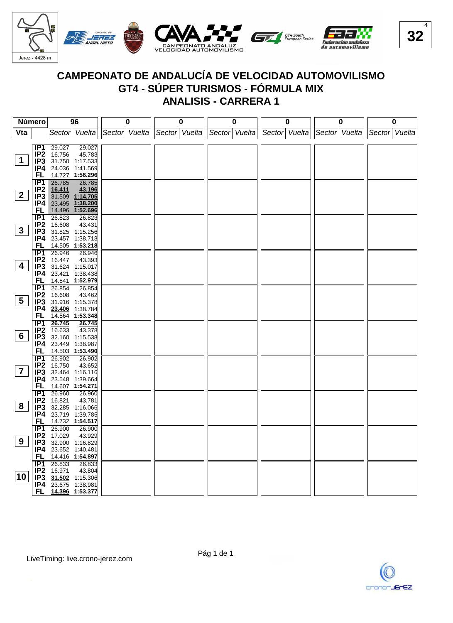

| Número          |                        |                  | 96                | 0             |               | 0 | $\mathbf 0$   |               | 0 |               | 0 |               | 0 |
|-----------------|------------------------|------------------|-------------------|---------------|---------------|---|---------------|---------------|---|---------------|---|---------------|---|
| Vta             |                        |                  | Sector Vuelta     | Sector Vuelta | Sector Vuelta |   | Sector Vuelta | Sector Vuelta |   | Sector Vuelta |   | Sector Vuelta |   |
|                 |                        |                  |                   |               |               |   |               |               |   |               |   |               |   |
|                 | IP <sub>1</sub>        | 29.027           | 29.027            |               |               |   |               |               |   |               |   |               |   |
|                 | IP <sub>2</sub>        | 16.756           | 45.783            |               |               |   |               |               |   |               |   |               |   |
| $\mathbf 1$     | IP <sub>3</sub>        |                  | 31.750 1:17.533   |               |               |   |               |               |   |               |   |               |   |
|                 | IP4                    |                  | 24.036 1:41.569   |               |               |   |               |               |   |               |   |               |   |
|                 | FL                     |                  | 14.727 1:56.296   |               |               |   |               |               |   |               |   |               |   |
|                 | IP1                    | 26.785           | 26.785            |               |               |   |               |               |   |               |   |               |   |
|                 | IP <sub>2</sub>        | 16.411           | 43.196            |               |               |   |               |               |   |               |   |               |   |
| $\mathbf{2}$    | IP3                    |                  | $31.509$ 1:14.705 |               |               |   |               |               |   |               |   |               |   |
|                 | IP4                    |                  | 23.495 1:38.200   |               |               |   |               |               |   |               |   |               |   |
|                 | <b>FL</b>              |                  | 14.496 1:52.696   |               |               |   |               |               |   |               |   |               |   |
|                 | $\overline{IP1}$       | 26.823           | 26.823            |               |               |   |               |               |   |               |   |               |   |
| $3\phantom{a}$  | IP <sub>2</sub>        | 16.608           | 43.431            |               |               |   |               |               |   |               |   |               |   |
|                 | IP3                    |                  | 31.825 1:15.256   |               |               |   |               |               |   |               |   |               |   |
|                 | IP4                    |                  | 23.457 1:38.713   |               |               |   |               |               |   |               |   |               |   |
|                 | FL<br>IP1              | 26.946           | 14.505 1:53.218   |               |               |   |               |               |   |               |   |               |   |
|                 | IP <sub>2</sub>        | 16.447           | 26.946<br>43.393  |               |               |   |               |               |   |               |   |               |   |
| 4               | IP3                    |                  | 31.624 1:15.017   |               |               |   |               |               |   |               |   |               |   |
|                 | IP4                    |                  | 23.421 1:38.438   |               |               |   |               |               |   |               |   |               |   |
|                 | <b>FL</b>              |                  | 14.541 1:52.979   |               |               |   |               |               |   |               |   |               |   |
|                 | $\overline{IP1}$       | 26.854           | 26.854            |               |               |   |               |               |   |               |   |               |   |
|                 | IP <sub>2</sub>        | 16.608           | 43.462            |               |               |   |               |               |   |               |   |               |   |
| $5\overline{)}$ | IP <sub>3</sub>        |                  | 31.916 1:15.378   |               |               |   |               |               |   |               |   |               |   |
|                 | IP4                    |                  | 23.406 1:38.784   |               |               |   |               |               |   |               |   |               |   |
|                 | <b>FL</b>              |                  | 14.564 1:53.348   |               |               |   |               |               |   |               |   |               |   |
|                 | $\overline{IP1}$       | 26.745           | 26.745            |               |               |   |               |               |   |               |   |               |   |
|                 | IP <sub>2</sub>        | 16.633           | 43.378            |               |               |   |               |               |   |               |   |               |   |
| 6               | IP <sub>3</sub>        |                  | 32.160 1:15.538   |               |               |   |               |               |   |               |   |               |   |
|                 | IP4                    |                  | 23.449 1:38.987   |               |               |   |               |               |   |               |   |               |   |
|                 | FL                     |                  | 14.503 1:53.490   |               |               |   |               |               |   |               |   |               |   |
|                 | IP1                    | 26.902           | 26.902            |               |               |   |               |               |   |               |   |               |   |
|                 | IP <sub>2</sub>        | 16.750           | 43.652            |               |               |   |               |               |   |               |   |               |   |
| $\overline{7}$  | IP3                    |                  | 32.464 1:16.116   |               |               |   |               |               |   |               |   |               |   |
|                 | IP4                    |                  | 23.548 1:39.664   |               |               |   |               |               |   |               |   |               |   |
|                 | FL.                    |                  | 14.607 1:54.271   |               |               |   |               |               |   |               |   |               |   |
|                 | IP <sub>1</sub>        | 26.960           | 26.960            |               |               |   |               |               |   |               |   |               |   |
| 8               | IP <sub>2</sub>        | 16.821           | 43.781            |               |               |   |               |               |   |               |   |               |   |
|                 | IP3                    |                  | 32.285 1:16.066   |               |               |   |               |               |   |               |   |               |   |
|                 | IP4<br><b>FL</b>       |                  | 23.719 1:39.785   |               |               |   |               |               |   |               |   |               |   |
|                 |                        |                  | 14.732 1:54.517   |               |               |   |               |               |   |               |   |               |   |
|                 | IP1<br>IP <sub>2</sub> | 26.900<br>17.029 | 26.900<br>43.929  |               |               |   |               |               |   |               |   |               |   |
| 9               | IP3                    |                  | 32.900 1:16.829   |               |               |   |               |               |   |               |   |               |   |
|                 | IP4                    |                  | 23.652 1:40.481   |               |               |   |               |               |   |               |   |               |   |
|                 | <b>FL</b>              |                  | 14.416 1:54.897   |               |               |   |               |               |   |               |   |               |   |
|                 | $\overline{IP1}$       | 26.833           | 26.833            |               |               |   |               |               |   |               |   |               |   |
|                 | IP2                    | 16.971           | 43.804            |               |               |   |               |               |   |               |   |               |   |
| 10              | IP <sub>3</sub>        |                  | 31.502 1:15.306   |               |               |   |               |               |   |               |   |               |   |
|                 | IP4                    |                  | 23.675 1:38.981   |               |               |   |               |               |   |               |   |               |   |
|                 | FL                     |                  | 14.396 1:53.377   |               |               |   |               |               |   |               |   |               |   |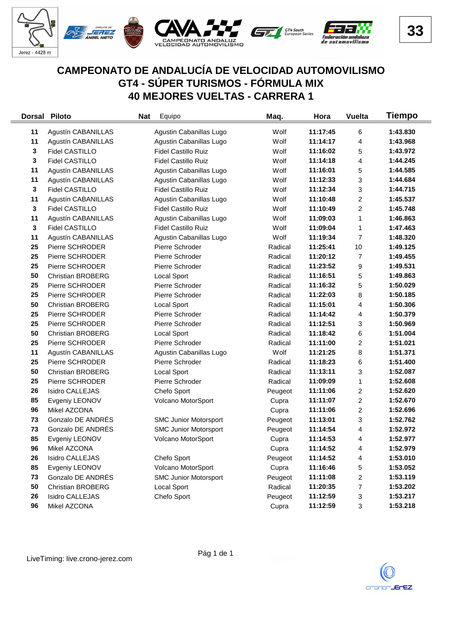

#### **CAMPEONATO DE ANDALUCÍA DE VELOCIDAD AUTOMOVILISMO GT4 - SÚPER TURISMOS - FÓRMULA MIX 40 MEJORES VUELTAS - CARRERA 1**

|              | Dorsal Piloto             | Equipo<br><b>Nat</b>         | Maq.    | Hora     | <b>Vuelta</b>           | <b>Tiempo</b> |
|--------------|---------------------------|------------------------------|---------|----------|-------------------------|---------------|
| 11           | Agustín CABANILLAS        | Agustin Cabanillas Lugo      | Wolf    | 11:17:45 | 6                       | 1:43.830      |
| 11           | Agustín CABANILLAS        | Agustin Cabanillas Lugo      | Wolf    | 11:14:17 | 4                       | 1:43.968      |
| 3            | Fidel CASTILLO            | <b>Fidel Castillo Ruiz</b>   | Wolf    | 11:16:02 | 5                       | 1:43.972      |
| 3            | <b>Fidel CASTILLO</b>     | <b>Fidel Castillo Ruiz</b>   | Wolf    | 11:14:18 | 4                       | 1:44.245      |
| 11           | Agustín CABANILLAS        | Agustin Cabanillas Lugo      | Wolf    | 11:16:01 | 5                       | 1:44.585      |
| 11           | Agustín CABANILLAS        | Agustin Cabanillas Lugo      | Wolf    | 11:12:33 | 3                       | 1:44.684      |
| $\mathbf{3}$ | Fidel CASTILLO            | <b>Fidel Castillo Ruiz</b>   | Wolf    | 11:12:34 | 3                       | 1:44.715      |
| 11           | Agustín CABANILLAS        | Agustin Cabanillas Lugo      | Wolf    | 11:10:48 | $\overline{c}$          | 1:45.537      |
| 3            | <b>Fidel CASTILLO</b>     | <b>Fidel Castillo Ruiz</b>   | Wolf    | 11:10:49 | $\overline{\mathbf{c}}$ | 1:45.748      |
| 11           | <b>Agustín CABANILLAS</b> | Agustin Cabanillas Lugo      | Wolf    | 11:09:03 | 1                       | 1:46.863      |
| 3            | <b>Fidel CASTILLO</b>     | <b>Fidel Castillo Ruiz</b>   | Wolf    | 11:09:04 | 1                       | 1:47.463      |
| 11           | Agustín CABANILLAS        | Agustin Cabanillas Lugo      | Wolf    | 11:19:34 | 7                       | 1:48.320      |
| 25           | Pierre SCHRODER           | Pierre Schroder              | Radical | 11:25:41 | 10                      | 1:49.125      |
| 25           | Pierre SCHRODER           | Pierre Schroder              | Radical | 11:20:12 | 7                       | 1:49.455      |
| 25           | Pierre SCHRODER           | Pierre Schroder              | Radical | 11:23:52 | 9                       | 1:49.531      |
| 50           | <b>Christian BROBERG</b>  | Local Sport                  | Radical | 11:16:51 | 5                       | 1:49.863      |
| 25           | Pierre SCHRODER           | Pierre Schroder              | Radical | 11:16:32 | 5                       | 1:50.029      |
| 25           | Pierre SCHRODER           | Pierre Schroder              | Radical | 11:22:03 | 8                       | 1:50.185      |
| 50           | <b>Christian BROBERG</b>  | Local Sport                  | Radical | 11:15:01 | 4                       | 1:50.306      |
| 25           | Pierre SCHRODER           | Pierre Schroder              | Radical | 11:14:42 | 4                       | 1:50.379      |
| 25           | Pierre SCHRODER           | Pierre Schroder              | Radical | 11:12:51 | 3                       | 1:50.969      |
| 50           | <b>Christian BROBERG</b>  | Local Sport                  | Radical | 11:18:42 | 6                       | 1:51.004      |
| 25           | Pierre SCHRODER           | Pierre Schroder              | Radical | 11:11:00 | $\overline{\mathbf{c}}$ | 1:51.021      |
| 11           | Agustín CABANILLAS        | Agustin Cabanillas Lugo      | Wolf    | 11:21:25 | 8                       | 1:51.371      |
| 25           | Pierre SCHRODER           | Pierre Schroder              | Radical | 11:18:23 | 6                       | 1:51.400      |
| 50           | <b>Christian BROBERG</b>  | <b>Local Sport</b>           | Radical | 11:13:11 | 3                       | 1:52.087      |
| 25           | Pierre SCHRODER           | Pierre Schroder              | Radical | 11:09:09 | 1                       | 1:52.608      |
| 26           | <b>Isidro CALLEJAS</b>    | Chefo Sport                  | Peugeot | 11:11:06 | 2                       | 1:52.620      |
| 85           | Evgeniy LEONOV            | Volcano MotorSport           | Cupra   | 11:11:07 | $\overline{\mathbf{c}}$ | 1:52.670      |
| 96           | Mikel AZCONA              |                              | Cupra   | 11:11:06 | $\overline{\mathbf{c}}$ | 1:52.696      |
| 73           | Gonzalo DE ANDRÉS         | <b>SMC Junior Motorsport</b> | Peugeot | 11:13:01 | 3                       | 1:52.762      |
| 73           | Gonzalo DE ANDRÉS         | <b>SMC Junior Motorsport</b> | Peugeot | 11:14:54 | 4                       | 1:52.972      |
| 85           | Evgeniy LEONOV            | Volcano MotorSport           | Cupra   | 11:14:53 | 4                       | 1:52.977      |
| 96           | Mikel AZCONA              |                              | Cupra   | 11:14:52 | 4                       | 1:52.979      |
| 26           | <b>Isidro CALLEJAS</b>    | Chefo Sport                  | Peugeot | 11:14:52 | 4                       | 1:53.010      |
| 85           | Evgeniy LEONOV            | Volcano MotorSport           | Cupra   | 11:16:46 | 5                       | 1:53.052      |
| 73           | Gonzalo DE ANDRÉS         | <b>SMC Junior Motorsport</b> | Peugeot | 11:11:08 | $\overline{\mathbf{c}}$ | 1:53.119      |
| 50           | <b>Christian BROBERG</b>  | Local Sport                  | Radical | 11:20:35 | 7                       | 1:53.202      |
| 26           | <b>Isidro CALLEJAS</b>    | Chefo Sport                  | Peugeot | 11:12:59 | 3                       | 1:53.217      |
| 96           | Mikel AZCONA              |                              | Cupra   | 11:12:59 | $\sqrt{3}$              | 1:53.218      |

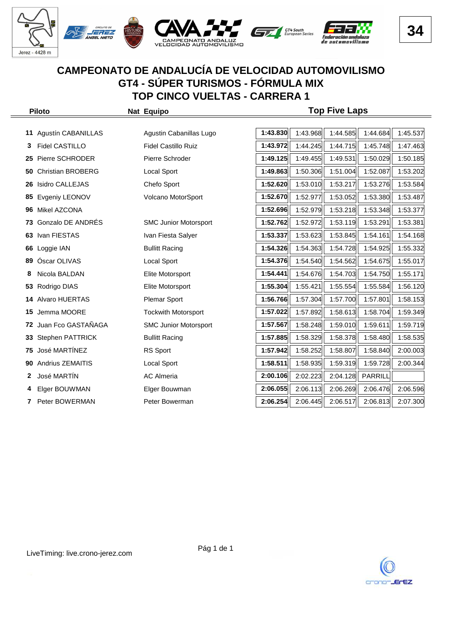

|    | <b>Piloto</b>            | Nat Equipo                   | <b>Top Five Laps</b> |          |          |          |          |  |  |  |
|----|--------------------------|------------------------------|----------------------|----------|----------|----------|----------|--|--|--|
|    |                          |                              |                      |          |          |          |          |  |  |  |
| 11 | Agustín CABANILLAS       | Agustin Cabanillas Lugo      | 1:43.830             | 1:43.968 | 1:44.585 | 1:44.684 | 1:45.537 |  |  |  |
|    | Fidel CASTILLO           | <b>Fidel Castillo Ruiz</b>   | 1:43.972             | 1:44.245 | 1:44.715 | 1:45.748 | 1:47.463 |  |  |  |
| 25 | Pierre SCHRODER          | Pierre Schroder              | 1:49.125             | 1:49.455 | 1:49.531 | 1:50.029 | 1:50.185 |  |  |  |
| 50 | <b>Christian BROBERG</b> | <b>Local Sport</b>           | 1:49.863             | 1:50.306 | 1:51.004 | 1:52.087 | 1:53.202 |  |  |  |
| 26 | Isidro CALLEJAS          | Chefo Sport                  | 1:52.620             | 1:53.010 | 1:53.217 | 1:53.276 | 1:53.584 |  |  |  |
| 85 | Evgeniy LEONOV           | Volcano MotorSport           | 1:52.670             | 1:52.977 | 1:53.052 | 1:53.380 | 1:53.487 |  |  |  |
| 96 | Mikel AZCONA             |                              | 1:52.696             | 1:52.979 | 1:53.218 | 1:53.348 | 1:53.377 |  |  |  |
| 73 | Gonzalo DE ANDRÉS        | <b>SMC Junior Motorsport</b> | 1:52.762             | 1:52.972 | 1:53.119 | 1:53.291 | 1:53.381 |  |  |  |
| 63 | Ivan FIESTAS             | Ivan Fiesta Salyer           | 1:53.337             | 1:53.623 | 1:53.845 | 1:54.161 | 1:54.168 |  |  |  |
| 66 | Loggie IAN               | <b>Bullitt Racing</b>        | 1:54.326             | 1:54.363 | 1:54.728 | 1:54.925 | 1:55.332 |  |  |  |
| 89 | Óscar OLIVAS             | <b>Local Sport</b>           | 1:54.376             | 1:54.540 | 1:54.562 | 1:54.675 | 1:55.017 |  |  |  |
| 8  | Nicola BALDAN            | Elite Motorsport             | 1:54.441             | 1:54.676 | 1:54.703 | 1:54.750 | 1:55.171 |  |  |  |
| 53 | Rodrigo DIAS             | Elite Motorsport             | 1:55.304             | 1:55.421 | 1:55.554 | 1:55.584 | 1:56.120 |  |  |  |
| 14 | <b>Alvaro HUERTAS</b>    | <b>Plemar Sport</b>          | 1:56.766             | 1:57.304 | 1:57.700 | 1:57.801 | 1:58.153 |  |  |  |
| 15 | Jemma MOORE              | <b>Tockwith Motorsport</b>   | 1:57.022             | 1:57.892 | 1:58.613 | 1:58.704 | 1:59.349 |  |  |  |
| 72 | Juan Fco GASTAÑAGA       | <b>SMC Junior Motorsport</b> | 1:57.567             | 1:58.248 | 1:59.010 | 1:59.611 | 1:59.719 |  |  |  |
| 33 | <b>Stephen PATTRICK</b>  | <b>Bullitt Racing</b>        | 1:57.885             | 1:58.329 | 1:58.378 | 1:58.480 | 1:58.535 |  |  |  |
| 75 | José MARTÍNEZ            | RS Sport                     | 1:57.942             | 1:58.252 | 1:58.807 | 1:58.840 | 2:00.003 |  |  |  |
| 90 | Andrius ZEMAITIS         | <b>Local Sport</b>           | 1:58.511             | 1:58.935 | 1:59.319 | 1:59.728 | 2:00.344 |  |  |  |
| 2  | José MARTÍN              | <b>AC Almeria</b>            | 2:00.106             | 2:02.223 | 2:04.128 | PARRILL  |          |  |  |  |
| 4  | Elger BOUWMAN            | Elger Bouwman                | 2:06.055             | 2:06.113 | 2:06.269 | 2:06.476 | 2:06.596 |  |  |  |
| 7  | Peter BOWERMAN           | Peter Bowerman               | 2:06.254             | 2:06.445 | 2:06.517 | 2:06.813 | 2:07.300 |  |  |  |

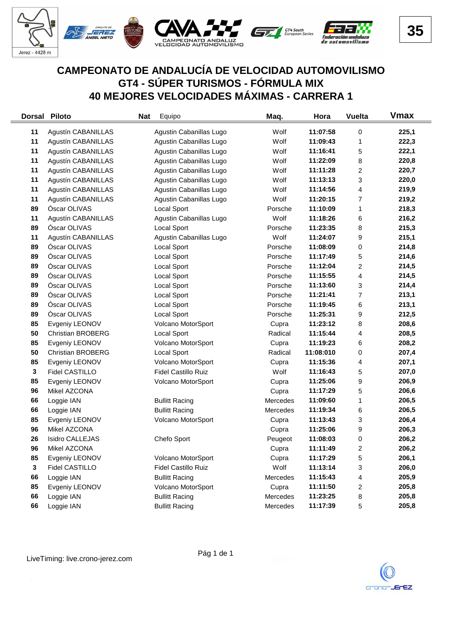

## **CAMPEONATO DE ANDALUCÍA DE VELOCIDAD AUTOMOVILISMO GT4 - SÚPER TURISMOS - FÓRMULA MIX 40 MEJORES VELOCIDADES MÁXIMAS - CARRERA 1**

| <b>Dorsal</b> | <b>Piloto</b>             | Equipo<br><b>Nat</b>       | Maq.     | Hora      | <b>Vuelta</b>           | <b>V</b> max |
|---------------|---------------------------|----------------------------|----------|-----------|-------------------------|--------------|
| 11            | Agustín CABANILLAS        | Agustin Cabanillas Lugo    | Wolf     | 11:07:58  | 0                       | 225,1        |
| 11            | Agustín CABANILLAS        | Agustin Cabanillas Lugo    | Wolf     | 11:09:43  | 1                       | 222,3        |
| 11            | Agustín CABANILLAS        | Agustin Cabanillas Lugo    | Wolf     | 11:16:41  | 5                       | 222,1        |
| 11            | Agustín CABANILLAS        | Agustin Cabanillas Lugo    | Wolf     | 11:22:09  | 8                       | 220,8        |
| 11            | Agustín CABANILLAS        | Agustin Cabanillas Lugo    | Wolf     | 11:11:28  | $\overline{c}$          | 220,7        |
| 11            | Agustín CABANILLAS        | Agustin Cabanillas Lugo    | Wolf     | 11:13:13  | 3                       | 220,0        |
| 11            | Agustín CABANILLAS        | Agustin Cabanillas Lugo    | Wolf     | 11:14:56  | 4                       | 219,9        |
| 11            | <b>Agustín CABANILLAS</b> | Agustin Cabanillas Lugo    | Wolf     | 11:20:15  | 7                       | 219,2        |
| 89            | Óscar OLIVAS              | Local Sport                | Porsche  | 11:10:09  | 1                       | 218,3        |
| 11            | Agustín CABANILLAS        | Agustin Cabanillas Lugo    | Wolf     | 11:18:26  | 6                       | 216,2        |
| 89            | Óscar OLIVAS              | Local Sport                | Porsche  | 11:23:35  | 8                       | 215,3        |
| 11            | Agustín CABANILLAS        | Agustin Cabanillas Lugo    | Wolf     | 11:24:07  | 9                       | 215,1        |
| 89            | Óscar OLIVAS              | Local Sport                | Porsche  | 11:08:09  | 0                       | 214,8        |
| 89            | Óscar OLIVAS              | Local Sport                | Porsche  | 11:17:49  | 5                       | 214,6        |
| 89            | Óscar OLIVAS              | Local Sport                | Porsche  | 11:12:04  | 2                       | 214,5        |
| 89            | Óscar OLIVAS              | Local Sport                | Porsche  | 11:15:55  | 4                       | 214,5        |
| 89            | Óscar OLIVAS              | Local Sport                | Porsche  | 11:13:60  | 3                       | 214,4        |
| 89            | Óscar OLIVAS              | <b>Local Sport</b>         | Porsche  | 11:21:41  | 7                       | 213,1        |
| 89            | Óscar OLIVAS              | <b>Local Sport</b>         | Porsche  | 11:19:45  | 6                       | 213,1        |
| 89            | Óscar OLIVAS              | Local Sport                | Porsche  | 11:25:31  | 9                       | 212,5        |
| 85            | Evgeniy LEONOV            | Volcano MotorSport         | Cupra    | 11:23:12  | 8                       | 208,6        |
| 50            | <b>Christian BROBERG</b>  | Local Sport                | Radical  | 11:15:44  | 4                       | 208,5        |
| 85            | Evgeniy LEONOV            | Volcano MotorSport         | Cupra    | 11:19:23  | 6                       | 208,2        |
| 50            | <b>Christian BROBERG</b>  | Local Sport                | Radical  | 11:08:010 | 0                       | 207,4        |
| 85            | Evgeniy LEONOV            | Volcano MotorSport         | Cupra    | 11:15:36  | 4                       | 207,1        |
| 3             | Fidel CASTILLO            | <b>Fidel Castillo Ruiz</b> | Wolf     | 11:16:43  | 5                       | 207,0        |
| 85            | Evgeniy LEONOV            | Volcano MotorSport         | Cupra    | 11:25:06  | 9                       | 206,9        |
| 96            | Mikel AZCONA              |                            | Cupra    | 11:17:29  | 5                       | 206,6        |
| 66            | Loggie IAN                | <b>Bullitt Racing</b>      | Mercedes | 11:09:60  | 1                       | 206,5        |
| 66            | Loggie IAN                | <b>Bullitt Racing</b>      | Mercedes | 11:19:34  | 6                       | 206,5        |
| 85            | Evgeniy LEONOV            | Volcano MotorSport         | Cupra    | 11:13:43  | 3                       | 206,4        |
| 96            | Mikel AZCONA              |                            | Cupra    | 11:25:06  | 9                       | 206,3        |
| 26            | <b>Isidro CALLEJAS</b>    | Chefo Sport                | Peugeot  | 11:08:03  | 0                       | 206,2        |
| 96            | Mikel AZCONA              |                            | Cupra    | 11:11:49  | $\overline{\mathbf{c}}$ | 206,2        |
| 85            | Evgeniy LEONOV            | Volcano MotorSport         | Cupra    | 11:17:29  | 5                       | 206,1        |
| 3             | Fidel CASTILLO            | <b>Fidel Castillo Ruiz</b> | Wolf     | 11:13:14  | 3                       | 206,0        |
| 66            | Loggie IAN                | <b>Bullitt Racing</b>      | Mercedes | 11:15:43  | $\overline{\mathbf{4}}$ | 205,9        |
| 85            | Evgeniy LEONOV            | Volcano MotorSport         | Cupra    | 11:11:50  | $\overline{\mathbf{c}}$ | 205,8        |
| 66            | Loggie IAN                | <b>Bullitt Racing</b>      | Mercedes | 11:23:25  | 8                       | 205,8        |
| 66            | Loggie IAN                | <b>Bullitt Racing</b>      | Mercedes | 11:17:39  | 5                       | 205,8        |

 $=$ 

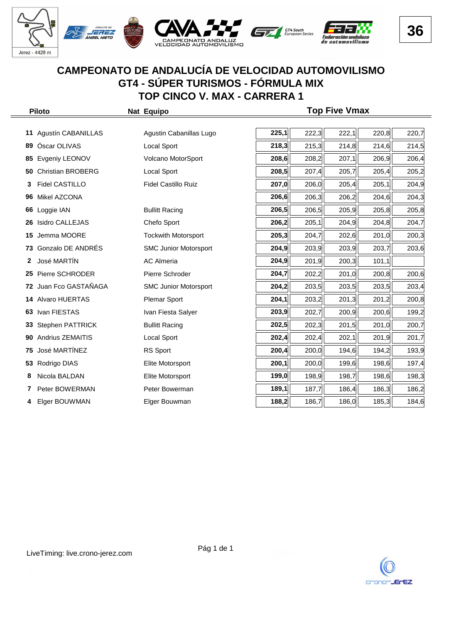

|     | <b>Piloto</b>            | Nat Equipo                   | <b>Top Five Vmax</b> |       |       |       |       |  |  |  |  |
|-----|--------------------------|------------------------------|----------------------|-------|-------|-------|-------|--|--|--|--|
|     |                          |                              |                      |       |       |       |       |  |  |  |  |
| 11  | Agustín CABANILLAS       | Agustin Cabanillas Lugo      | 225,1                | 222,3 | 222,1 | 220,8 | 220,7 |  |  |  |  |
| 89  | Óscar OLIVAS             | Local Sport                  | 218,3                | 215,3 | 214,8 | 214,6 | 214,5 |  |  |  |  |
| 85  | Evgeniy LEONOV           | Volcano MotorSport           | 208,6                | 208,2 | 207,1 | 206,9 | 206,4 |  |  |  |  |
| 50  | <b>Christian BROBERG</b> | Local Sport                  | 208,5                | 207,4 | 205,7 | 205,4 | 205,2 |  |  |  |  |
| 3   | <b>Fidel CASTILLO</b>    | <b>Fidel Castillo Ruiz</b>   | 207,0                | 206,0 | 205,4 | 205,1 | 204,9 |  |  |  |  |
| 96  | Mikel AZCONA             |                              | 206,6                | 206,3 | 206,2 | 204,6 | 204,3 |  |  |  |  |
| 66  | Loggie IAN               | <b>Bullitt Racing</b>        | 206,5                | 206,5 | 205,9 | 205,8 | 205,8 |  |  |  |  |
| 26  | <b>Isidro CALLEJAS</b>   | Chefo Sport                  | 206,2                | 205,1 | 204,9 | 204,8 | 204,7 |  |  |  |  |
| 15  | Jemma MOORE              | <b>Tockwith Motorsport</b>   | 205,3                | 204,7 | 202,6 | 201,0 | 200,3 |  |  |  |  |
|     | 73 Gonzalo DE ANDRÉS     | <b>SMC Junior Motorsport</b> | 204,9                | 203,9 | 203,9 | 203,7 | 203,6 |  |  |  |  |
| 2   | José MARTIN              | <b>AC Almeria</b>            | 204,9                | 201,9 | 200,3 | 101,1 |       |  |  |  |  |
| 25. | Pierre SCHRODER          | Pierre Schroder              | 204,7                | 202,2 | 201,0 | 200,8 | 200,6 |  |  |  |  |
| 72  | Juan Fco GASTAÑAGA       | <b>SMC Junior Motorsport</b> | 204,2                | 203,5 | 203,5 | 203,5 | 203,4 |  |  |  |  |
| 14  | Alvaro HUERTAS           | <b>Plemar Sport</b>          | 204,1                | 203,2 | 201,3 | 201,2 | 200,8 |  |  |  |  |
| 63  | Ivan FIESTAS             | Ivan Fiesta Salyer           | 203,9                | 202,7 | 200,9 | 200,6 | 199,2 |  |  |  |  |
| 33  | Stephen PATTRICK         | <b>Bullitt Racing</b>        | 202,5                | 202,3 | 201,5 | 201,0 | 200,7 |  |  |  |  |
| 90  | <b>Andrius ZEMAITIS</b>  | <b>Local Sport</b>           | 202,4                | 202,4 | 202,1 | 201,9 | 201,7 |  |  |  |  |
| 75  | José MARTÍNEZ            | RS Sport                     | 200,4                | 200,0 | 194,6 | 194,2 | 193,9 |  |  |  |  |
|     | 53 Rodrigo DIAS          | Elite Motorsport             | 200,1                | 200,0 | 199,6 | 198,6 | 197,4 |  |  |  |  |
| 8   | Nicola BALDAN            | Elite Motorsport             | 199,0                | 198,9 | 198,7 | 198,6 | 198,3 |  |  |  |  |
|     | Peter BOWERMAN           | Peter Bowerman               | 189,1                | 187,7 | 186,4 | 186,3 | 186,2 |  |  |  |  |
| 4   | Elger BOUWMAN            | Elger Bouwman                | 188,2                | 186,7 | 186,0 | 185,3 | 184,6 |  |  |  |  |

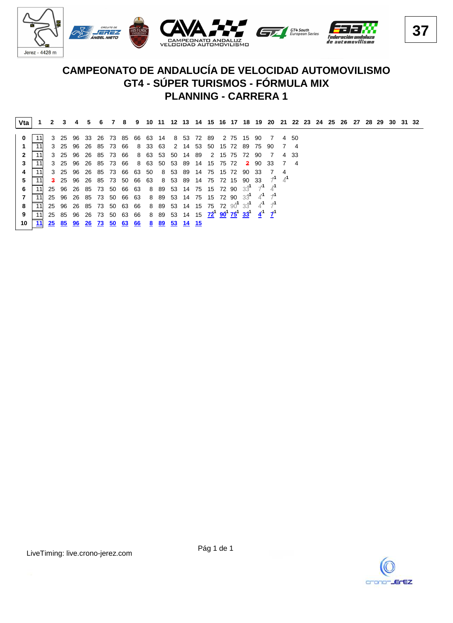

|   | Vta             |    |                                                                                                                                     | $2 \quad 3$ |    |    |    |                     |                                                     |      |                 |       |  |  |         | 4 5 6 7 8 9 10 11 12 13 14 15 16 17 18 19 20 21 22 23 24 25 26 27 28 29 30 31 32   |                             |      |  |  |  |  |  |
|---|-----------------|----|-------------------------------------------------------------------------------------------------------------------------------------|-------------|----|----|----|---------------------|-----------------------------------------------------|------|-----------------|-------|--|--|---------|------------------------------------------------------------------------------------|-----------------------------|------|--|--|--|--|--|
|   |                 |    |                                                                                                                                     |             |    |    |    |                     |                                                     |      |                 |       |  |  |         |                                                                                    |                             |      |  |  |  |  |  |
|   |                 |    |                                                                                                                                     |             |    |    |    |                     | 3 25 96 33 26 73 85 66 63 14 8 53 72 89             |      |                 |       |  |  |         | 2 75 15 90 7                                                                       |                             | 4 50 |  |  |  |  |  |
|   |                 |    |                                                                                                                                     |             |    |    |    | 3 25 96 26 85 73 66 | 8 33 63 2 14 53 50 15 72 89 75 90                   |      |                 |       |  |  |         |                                                                                    |                             | 74   |  |  |  |  |  |
|   |                 | 11 |                                                                                                                                     |             |    |    |    |                     | 3 25 96 26 85 73 66 8 63 53 50 14 89 2 15 75 72 90  |      |                 |       |  |  |         | $\overline{7}$                                                                     |                             | 4 33 |  |  |  |  |  |
|   |                 | 11 |                                                                                                                                     |             |    |    |    | 3 25 96 26 85 73 66 | 8 63 50 53 89 14 15 75 72                           |      |                 |       |  |  | 2 90 33 |                                                                                    |                             |      |  |  |  |  |  |
|   |                 | 11 |                                                                                                                                     |             |    |    |    |                     | 3 25 96 26 85 73 66 63 50 8 53 89 14 75 15 72 90 33 |      |                 |       |  |  |         |                                                                                    |                             |      |  |  |  |  |  |
|   |                 |    |                                                                                                                                     |             |    |    |    |                     |                                                     |      |                 |       |  |  |         | <b>3</b> 25 96 26 85 73 50 66 63 8 53 89 14 75 72 15 90 33 $\overline{7}^1$        | $\overline{A}^{\mathsf{T}}$ |      |  |  |  |  |  |
| 6 |                 |    |                                                                                                                                     |             |    |    |    |                     |                                                     |      |                 |       |  |  |         | 25 96 26 85 73 50 66 63 8 89 53 14 75 15 72 90 $3^1$ 7 <sup>1</sup> 4 <sup>1</sup> |                             |      |  |  |  |  |  |
|   |                 | 11 |                                                                                                                                     |             |    |    |    |                     |                                                     |      |                 |       |  |  |         | 25 96 26 85 73 50 66 63 8 89 53 14 75 15 72 90 $3^1$ 4 <sup>1</sup> 7 <sup>1</sup> |                             |      |  |  |  |  |  |
| 8 |                 | 11 |                                                                                                                                     |             |    |    |    |                     |                                                     |      |                 |       |  |  |         | 25 96 26 85 73 50 63 66 8 89 53 14 15 75 72 90 33 4 <sup>1</sup> 7                 |                             |      |  |  |  |  |  |
| 9 |                 | 11 | 25 85 96 26 73 50 63 66 8 89 53 14 15 72 <sup>1</sup> 90 <sup>1</sup> 75 <sup>1</sup> 33 <sup>1</sup> 4 <sup>1</sup> 7 <sup>1</sup> |             |    |    |    |                     |                                                     |      |                 |       |  |  |         |                                                                                    |                             |      |  |  |  |  |  |
|   | 10 <sup>1</sup> | 11 | 25 85 96                                                                                                                            |             | 26 | 73 | 50 | 63                  | 66                                                  | 8 89 | 53 <sup>°</sup> | 14 15 |  |  |         |                                                                                    |                             |      |  |  |  |  |  |
|   |                 |    |                                                                                                                                     |             |    |    |    |                     |                                                     |      |                 |       |  |  |         |                                                                                    |                             |      |  |  |  |  |  |